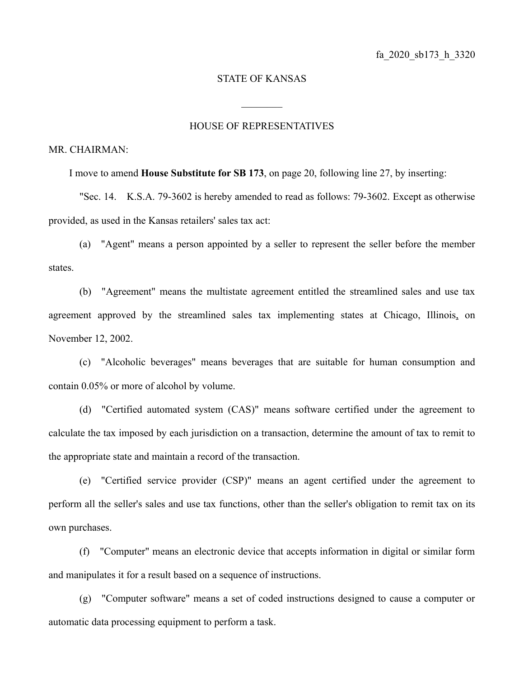## STATE OF KANSAS

## HOUSE OF REPRESENTATIVES

 $\frac{1}{2}$ 

## MR. CHAIRMAN:

I move to amend **House Substitute for SB 173**, on page 20, following line 27, by inserting:

"Sec. 14. K.S.A. 79-3602 is hereby amended to read as follows: 79-3602. Except as otherwise provided, as used in the Kansas retailers' sales tax act:

(a) "Agent" means a person appointed by a seller to represent the seller before the member states.

(b) "Agreement" means the multistate agreement entitled the streamlined sales and use tax agreement approved by the streamlined sales tax implementing states at Chicago, Illinois, on November 12, 2002.

(c) "Alcoholic beverages" means beverages that are suitable for human consumption and contain 0.05% or more of alcohol by volume.

(d) "Certified automated system (CAS)" means software certified under the agreement to calculate the tax imposed by each jurisdiction on a transaction, determine the amount of tax to remit to the appropriate state and maintain a record of the transaction.

(e) "Certified service provider (CSP)" means an agent certified under the agreement to perform all the seller's sales and use tax functions, other than the seller's obligation to remit tax on its own purchases.

(f) "Computer" means an electronic device that accepts information in digital or similar form and manipulates it for a result based on a sequence of instructions.

(g) "Computer software" means a set of coded instructions designed to cause a computer or automatic data processing equipment to perform a task.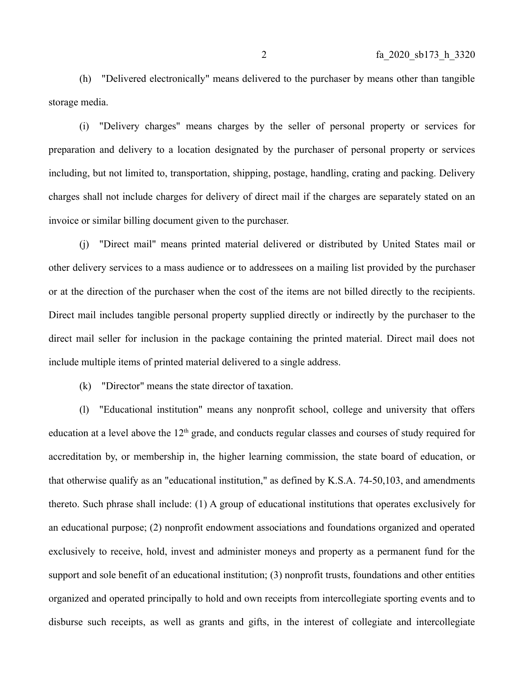(h) "Delivered electronically" means delivered to the purchaser by means other than tangible storage media.

(i) "Delivery charges" means charges by the seller of personal property or services for preparation and delivery to a location designated by the purchaser of personal property or services including, but not limited to, transportation, shipping, postage, handling, crating and packing. Delivery charges shall not include charges for delivery of direct mail if the charges are separately stated on an invoice or similar billing document given to the purchaser.

(j) "Direct mail" means printed material delivered or distributed by United States mail or other delivery services to a mass audience or to addressees on a mailing list provided by the purchaser or at the direction of the purchaser when the cost of the items are not billed directly to the recipients. Direct mail includes tangible personal property supplied directly or indirectly by the purchaser to the direct mail seller for inclusion in the package containing the printed material. Direct mail does not include multiple items of printed material delivered to a single address.

(k) "Director" means the state director of taxation.

(l) "Educational institution" means any nonprofit school, college and university that offers education at a level above the  $12<sup>th</sup>$  grade, and conducts regular classes and courses of study required for accreditation by, or membership in, the higher learning commission, the state board of education, or that otherwise qualify as an "educational institution," as defined by K.S.A. 74-50,103, and amendments thereto. Such phrase shall include: (1) A group of educational institutions that operates exclusively for an educational purpose; (2) nonprofit endowment associations and foundations organized and operated exclusively to receive, hold, invest and administer moneys and property as a permanent fund for the support and sole benefit of an educational institution; (3) nonprofit trusts, foundations and other entities organized and operated principally to hold and own receipts from intercollegiate sporting events and to disburse such receipts, as well as grants and gifts, in the interest of collegiate and intercollegiate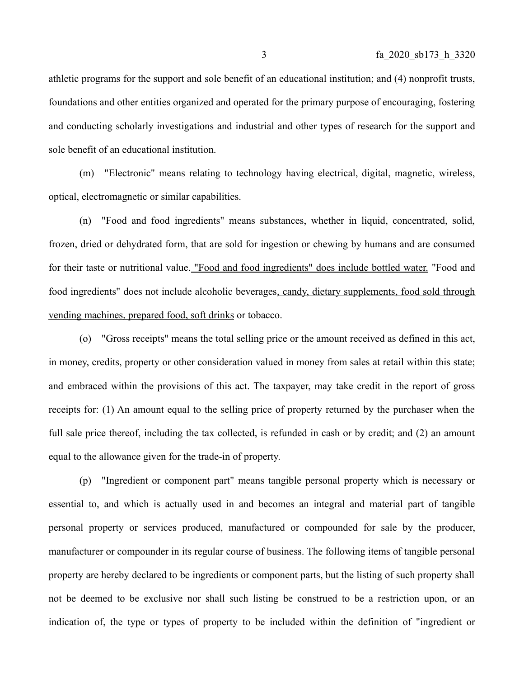athletic programs for the support and sole benefit of an educational institution; and (4) nonprofit trusts, foundations and other entities organized and operated for the primary purpose of encouraging, fostering and conducting scholarly investigations and industrial and other types of research for the support and sole benefit of an educational institution.

(m) "Electronic" means relating to technology having electrical, digital, magnetic, wireless, optical, electromagnetic or similar capabilities.

(n) "Food and food ingredients" means substances, whether in liquid, concentrated, solid, frozen, dried or dehydrated form, that are sold for ingestion or chewing by humans and are consumed for their taste or nutritional value. "Food and food ingredients" does include bottled water. "Food and food ingredients" does not include alcoholic beverages, candy, dietary supplements, food sold through vending machines, prepared food, soft drinks or tobacco.

(o) "Gross receipts" means the total selling price or the amount received as defined in this act, in money, credits, property or other consideration valued in money from sales at retail within this state; and embraced within the provisions of this act. The taxpayer, may take credit in the report of gross receipts for: (1) An amount equal to the selling price of property returned by the purchaser when the full sale price thereof, including the tax collected, is refunded in cash or by credit; and (2) an amount equal to the allowance given for the trade-in of property.

(p) "Ingredient or component part" means tangible personal property which is necessary or essential to, and which is actually used in and becomes an integral and material part of tangible personal property or services produced, manufactured or compounded for sale by the producer, manufacturer or compounder in its regular course of business. The following items of tangible personal property are hereby declared to be ingredients or component parts, but the listing of such property shall not be deemed to be exclusive nor shall such listing be construed to be a restriction upon, or an indication of, the type or types of property to be included within the definition of "ingredient or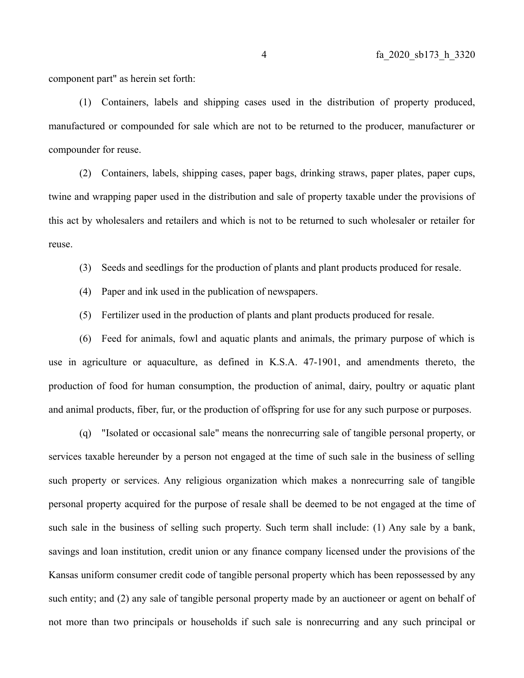component part" as herein set forth:

(1) Containers, labels and shipping cases used in the distribution of property produced, manufactured or compounded for sale which are not to be returned to the producer, manufacturer or compounder for reuse.

(2) Containers, labels, shipping cases, paper bags, drinking straws, paper plates, paper cups, twine and wrapping paper used in the distribution and sale of property taxable under the provisions of this act by wholesalers and retailers and which is not to be returned to such wholesaler or retailer for reuse.

(3) Seeds and seedlings for the production of plants and plant products produced for resale.

- (4) Paper and ink used in the publication of newspapers.
- (5) Fertilizer used in the production of plants and plant products produced for resale.

(6) Feed for animals, fowl and aquatic plants and animals, the primary purpose of which is use in agriculture or aquaculture, as defined in K.S.A. 47-1901, and amendments thereto, the production of food for human consumption, the production of animal, dairy, poultry or aquatic plant and animal products, fiber, fur, or the production of offspring for use for any such purpose or purposes.

(q) "Isolated or occasional sale" means the nonrecurring sale of tangible personal property, or services taxable hereunder by a person not engaged at the time of such sale in the business of selling such property or services. Any religious organization which makes a nonrecurring sale of tangible personal property acquired for the purpose of resale shall be deemed to be not engaged at the time of such sale in the business of selling such property. Such term shall include: (1) Any sale by a bank, savings and loan institution, credit union or any finance company licensed under the provisions of the Kansas uniform consumer credit code of tangible personal property which has been repossessed by any such entity; and (2) any sale of tangible personal property made by an auctioneer or agent on behalf of not more than two principals or households if such sale is nonrecurring and any such principal or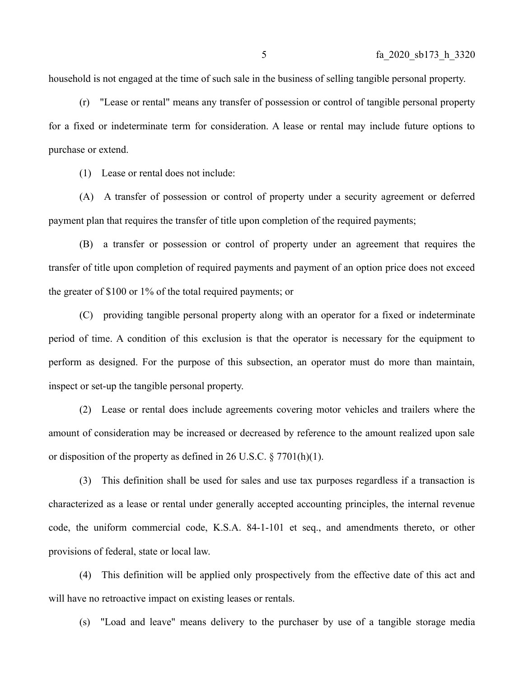household is not engaged at the time of such sale in the business of selling tangible personal property.

(r) "Lease or rental" means any transfer of possession or control of tangible personal property for a fixed or indeterminate term for consideration. A lease or rental may include future options to purchase or extend.

(1) Lease or rental does not include:

(A) A transfer of possession or control of property under a security agreement or deferred payment plan that requires the transfer of title upon completion of the required payments;

(B) a transfer or possession or control of property under an agreement that requires the transfer of title upon completion of required payments and payment of an option price does not exceed the greater of \$100 or 1% of the total required payments; or

(C) providing tangible personal property along with an operator for a fixed or indeterminate period of time. A condition of this exclusion is that the operator is necessary for the equipment to perform as designed. For the purpose of this subsection, an operator must do more than maintain, inspect or set-up the tangible personal property.

(2) Lease or rental does include agreements covering motor vehicles and trailers where the amount of consideration may be increased or decreased by reference to the amount realized upon sale or disposition of the property as defined in 26 U.S.C. § 7701(h)(1).

(3) This definition shall be used for sales and use tax purposes regardless if a transaction is characterized as a lease or rental under generally accepted accounting principles, the internal revenue code, the uniform commercial code, K.S.A. 84-1-101 et seq., and amendments thereto, or other provisions of federal, state or local law.

(4) This definition will be applied only prospectively from the effective date of this act and will have no retroactive impact on existing leases or rentals.

(s) "Load and leave" means delivery to the purchaser by use of a tangible storage media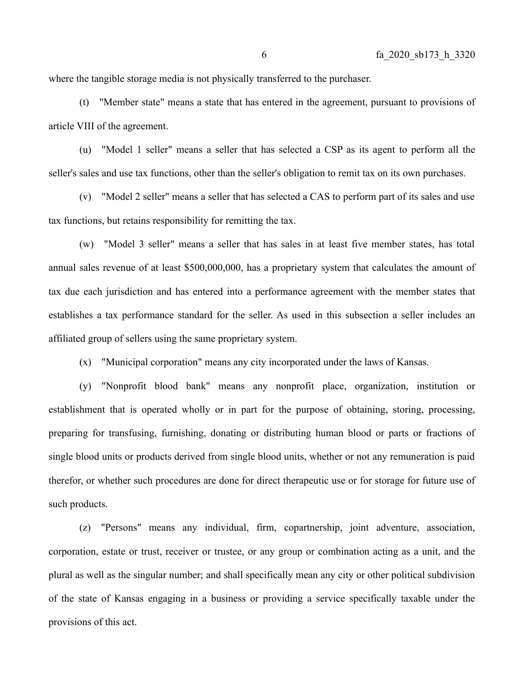where the tangible storage media is not physically transferred to the purchaser.

(t) "Member state" means a state that has entered in the agreement, pursuant to provisions of article VIII of the agreement.

(u) "Model 1 seller" means a seller that has selected a CSP as its agent to perform all the seller's sales and use tax functions, other than the seller's obligation to remit tax on its own purchases.

(v) "Model 2 seller" means a seller that has selected a CAS to perform part of its sales and use tax functions, but retains responsibility for remitting the tax.

(w) "Model 3 seller" means a seller that has sales in at least five member states, has total annual sales revenue of at least \$500,000,000, has a proprietary system that calculates the amount of tax due each jurisdiction and has entered into a performance agreement with the member states that establishes a tax performance standard for the seller. As used in this subsection a seller includes an affiliated group of sellers using the same proprietary system.

(x) "Municipal corporation" means any city incorporated under the laws of Kansas.

(y) "Nonprofit blood bank" means any nonprofit place, organization, institution or establishment that is operated wholly or in part for the purpose of obtaining, storing, processing, preparing for transfusing, furnishing, donating or distributing human blood or parts or fractions of single blood units or products derived from single blood units, whether or not any remuneration is paid therefor, or whether such procedures are done for direct therapeutic use or for storage for future use of such products.

(z) "Persons" means any individual, firm, copartnership, joint adventure, association, corporation, estate or trust, receiver or trustee, or any group or combination acting as a unit, and the plural as well as the singular number; and shall specifically mean any city or other political subdivision of the state of Kansas engaging in a business or providing a service specifically taxable under the provisions of this act.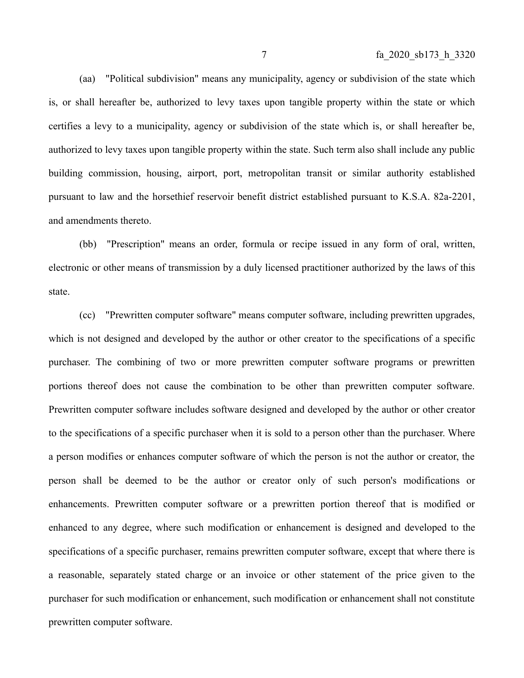(aa) "Political subdivision" means any municipality, agency or subdivision of the state which is, or shall hereafter be, authorized to levy taxes upon tangible property within the state or which certifies a levy to a municipality, agency or subdivision of the state which is, or shall hereafter be, authorized to levy taxes upon tangible property within the state. Such term also shall include any public building commission, housing, airport, port, metropolitan transit or similar authority established pursuant to law and the horsethief reservoir benefit district established pursuant to K.S.A. 82a-2201, and amendments thereto.

(bb) "Prescription" means an order, formula or recipe issued in any form of oral, written, electronic or other means of transmission by a duly licensed practitioner authorized by the laws of this state.

(cc) "Prewritten computer software" means computer software, including prewritten upgrades, which is not designed and developed by the author or other creator to the specifications of a specific purchaser. The combining of two or more prewritten computer software programs or prewritten portions thereof does not cause the combination to be other than prewritten computer software. Prewritten computer software includes software designed and developed by the author or other creator to the specifications of a specific purchaser when it is sold to a person other than the purchaser. Where a person modifies or enhances computer software of which the person is not the author or creator, the person shall be deemed to be the author or creator only of such person's modifications or enhancements. Prewritten computer software or a prewritten portion thereof that is modified or enhanced to any degree, where such modification or enhancement is designed and developed to the specifications of a specific purchaser, remains prewritten computer software, except that where there is a reasonable, separately stated charge or an invoice or other statement of the price given to the purchaser for such modification or enhancement, such modification or enhancement shall not constitute prewritten computer software.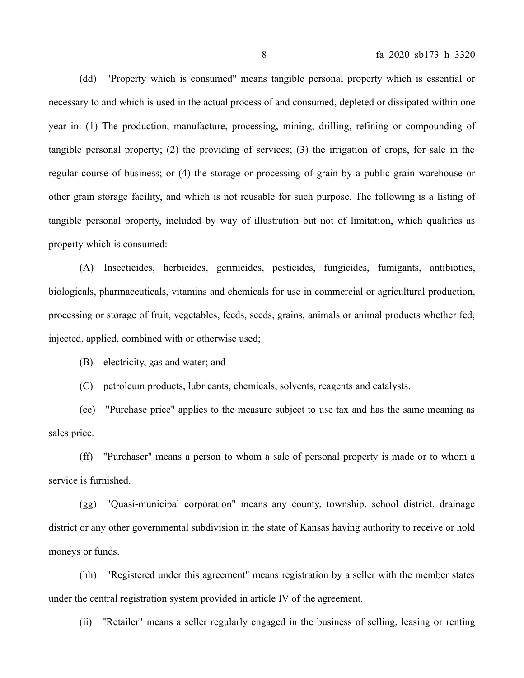(dd) "Property which is consumed" means tangible personal property which is essential or necessary to and which is used in the actual process of and consumed, depleted or dissipated within one year in: (1) The production, manufacture, processing, mining, drilling, refining or compounding of tangible personal property; (2) the providing of services; (3) the irrigation of crops, for sale in the regular course of business; or (4) the storage or processing of grain by a public grain warehouse or other grain storage facility, and which is not reusable for such purpose. The following is a listing of tangible personal property, included by way of illustration but not of limitation, which qualifies as property which is consumed:

(A) Insecticides, herbicides, germicides, pesticides, fungicides, fumigants, antibiotics, biologicals, pharmaceuticals, vitamins and chemicals for use in commercial or agricultural production, processing or storage of fruit, vegetables, feeds, seeds, grains, animals or animal products whether fed, injected, applied, combined with or otherwise used;

(B) electricity, gas and water; and

(C) petroleum products, lubricants, chemicals, solvents, reagents and catalysts.

(ee) "Purchase price" applies to the measure subject to use tax and has the same meaning as sales price.

(ff) "Purchaser" means a person to whom a sale of personal property is made or to whom a service is furnished.

(gg) "Quasi-municipal corporation" means any county, township, school district, drainage district or any other governmental subdivision in the state of Kansas having authority to receive or hold moneys or funds.

(hh) "Registered under this agreement" means registration by a seller with the member states under the central registration system provided in article IV of the agreement.

(ii) "Retailer" means a seller regularly engaged in the business of selling, leasing or renting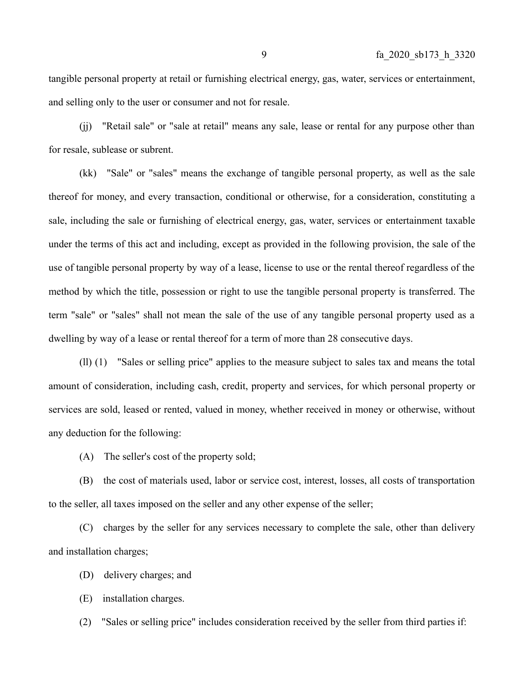tangible personal property at retail or furnishing electrical energy, gas, water, services or entertainment, and selling only to the user or consumer and not for resale.

(jj) "Retail sale" or "sale at retail" means any sale, lease or rental for any purpose other than for resale, sublease or subrent.

(kk) "Sale" or "sales" means the exchange of tangible personal property, as well as the sale thereof for money, and every transaction, conditional or otherwise, for a consideration, constituting a sale, including the sale or furnishing of electrical energy, gas, water, services or entertainment taxable under the terms of this act and including, except as provided in the following provision, the sale of the use of tangible personal property by way of a lease, license to use or the rental thereof regardless of the method by which the title, possession or right to use the tangible personal property is transferred. The term "sale" or "sales" shall not mean the sale of the use of any tangible personal property used as a dwelling by way of a lease or rental thereof for a term of more than 28 consecutive days.

(ll) (1) "Sales or selling price" applies to the measure subject to sales tax and means the total amount of consideration, including cash, credit, property and services, for which personal property or services are sold, leased or rented, valued in money, whether received in money or otherwise, without any deduction for the following:

(A) The seller's cost of the property sold;

(B) the cost of materials used, labor or service cost, interest, losses, all costs of transportation to the seller, all taxes imposed on the seller and any other expense of the seller;

(C) charges by the seller for any services necessary to complete the sale, other than delivery and installation charges;

(D) delivery charges; and

(E) installation charges.

(2) "Sales or selling price" includes consideration received by the seller from third parties if: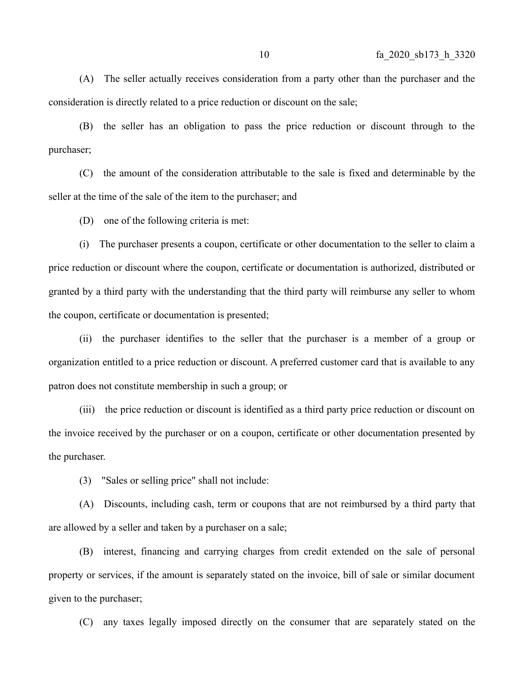(A) The seller actually receives consideration from a party other than the purchaser and the consideration is directly related to a price reduction or discount on the sale;

(B) the seller has an obligation to pass the price reduction or discount through to the purchaser;

(C) the amount of the consideration attributable to the sale is fixed and determinable by the seller at the time of the sale of the item to the purchaser; and

(D) one of the following criteria is met:

(i) The purchaser presents a coupon, certificate or other documentation to the seller to claim a price reduction or discount where the coupon, certificate or documentation is authorized, distributed or granted by a third party with the understanding that the third party will reimburse any seller to whom the coupon, certificate or documentation is presented;

(ii) the purchaser identifies to the seller that the purchaser is a member of a group or organization entitled to a price reduction or discount. A preferred customer card that is available to any patron does not constitute membership in such a group; or

(iii) the price reduction or discount is identified as a third party price reduction or discount on the invoice received by the purchaser or on a coupon, certificate or other documentation presented by the purchaser.

(3) "Sales or selling price" shall not include:

(A) Discounts, including cash, term or coupons that are not reimbursed by a third party that are allowed by a seller and taken by a purchaser on a sale;

(B) interest, financing and carrying charges from credit extended on the sale of personal property or services, if the amount is separately stated on the invoice, bill of sale or similar document given to the purchaser;

(C) any taxes legally imposed directly on the consumer that are separately stated on the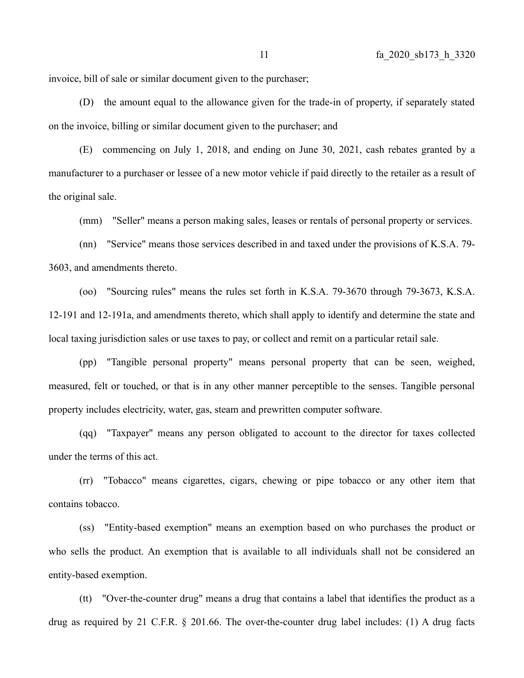invoice, bill of sale or similar document given to the purchaser;

(D) the amount equal to the allowance given for the trade-in of property, if separately stated on the invoice, billing or similar document given to the purchaser; and

(E) commencing on July 1, 2018, and ending on June 30, 2021, cash rebates granted by a manufacturer to a purchaser or lessee of a new motor vehicle if paid directly to the retailer as a result of the original sale.

(mm) "Seller" means a person making sales, leases or rentals of personal property or services.

(nn) "Service" means those services described in and taxed under the provisions of K.S.A. 79- 3603, and amendments thereto.

(oo) "Sourcing rules" means the rules set forth in K.S.A. 79-3670 through 79-3673, K.S.A. 12-191 and 12-191a, and amendments thereto, which shall apply to identify and determine the state and local taxing jurisdiction sales or use taxes to pay, or collect and remit on a particular retail sale.

(pp) "Tangible personal property" means personal property that can be seen, weighed, measured, felt or touched, or that is in any other manner perceptible to the senses. Tangible personal property includes electricity, water, gas, steam and prewritten computer software.

(qq) "Taxpayer" means any person obligated to account to the director for taxes collected under the terms of this act.

(rr) "Tobacco" means cigarettes, cigars, chewing or pipe tobacco or any other item that contains tobacco.

(ss) "Entity-based exemption" means an exemption based on who purchases the product or who sells the product. An exemption that is available to all individuals shall not be considered an entity-based exemption.

(tt) "Over-the-counter drug" means a drug that contains a label that identifies the product as a drug as required by 21 C.F.R. § 201.66. The over-the-counter drug label includes: (1) A drug facts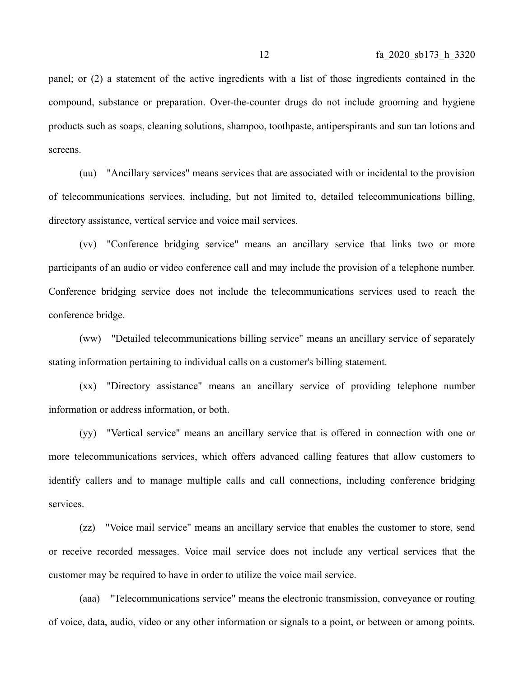panel; or (2) a statement of the active ingredients with a list of those ingredients contained in the compound, substance or preparation. Over-the-counter drugs do not include grooming and hygiene products such as soaps, cleaning solutions, shampoo, toothpaste, antiperspirants and sun tan lotions and screens.

(uu) "Ancillary services" means services that are associated with or incidental to the provision of telecommunications services, including, but not limited to, detailed telecommunications billing, directory assistance, vertical service and voice mail services.

(vv) "Conference bridging service" means an ancillary service that links two or more participants of an audio or video conference call and may include the provision of a telephone number. Conference bridging service does not include the telecommunications services used to reach the conference bridge.

(ww) "Detailed telecommunications billing service" means an ancillary service of separately stating information pertaining to individual calls on a customer's billing statement.

(xx) "Directory assistance" means an ancillary service of providing telephone number information or address information, or both.

(yy) "Vertical service" means an ancillary service that is offered in connection with one or more telecommunications services, which offers advanced calling features that allow customers to identify callers and to manage multiple calls and call connections, including conference bridging services.

(zz) "Voice mail service" means an ancillary service that enables the customer to store, send or receive recorded messages. Voice mail service does not include any vertical services that the customer may be required to have in order to utilize the voice mail service.

(aaa) "Telecommunications service" means the electronic transmission, conveyance or routing of voice, data, audio, video or any other information or signals to a point, or between or among points.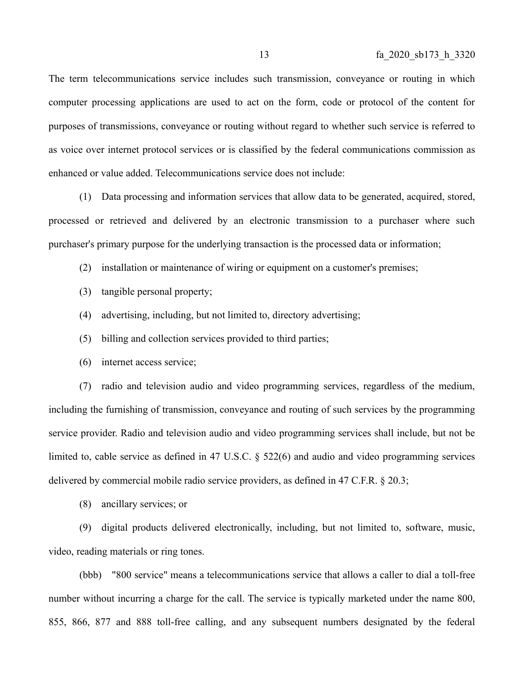The term telecommunications service includes such transmission, conveyance or routing in which computer processing applications are used to act on the form, code or protocol of the content for purposes of transmissions, conveyance or routing without regard to whether such service is referred to as voice over internet protocol services or is classified by the federal communications commission as enhanced or value added. Telecommunications service does not include:

(1) Data processing and information services that allow data to be generated, acquired, stored, processed or retrieved and delivered by an electronic transmission to a purchaser where such purchaser's primary purpose for the underlying transaction is the processed data or information;

(2) installation or maintenance of wiring or equipment on a customer's premises;

- (3) tangible personal property;
- (4) advertising, including, but not limited to, directory advertising;
- (5) billing and collection services provided to third parties;
- (6) internet access service;

(7) radio and television audio and video programming services, regardless of the medium, including the furnishing of transmission, conveyance and routing of such services by the programming service provider. Radio and television audio and video programming services shall include, but not be limited to, cable service as defined in 47 U.S.C. § 522(6) and audio and video programming services delivered by commercial mobile radio service providers, as defined in 47 C.F.R. § 20.3;

(8) ancillary services; or

(9) digital products delivered electronically, including, but not limited to, software, music, video, reading materials or ring tones.

(bbb) "800 service" means a telecommunications service that allows a caller to dial a toll-free number without incurring a charge for the call. The service is typically marketed under the name 800, 855, 866, 877 and 888 toll-free calling, and any subsequent numbers designated by the federal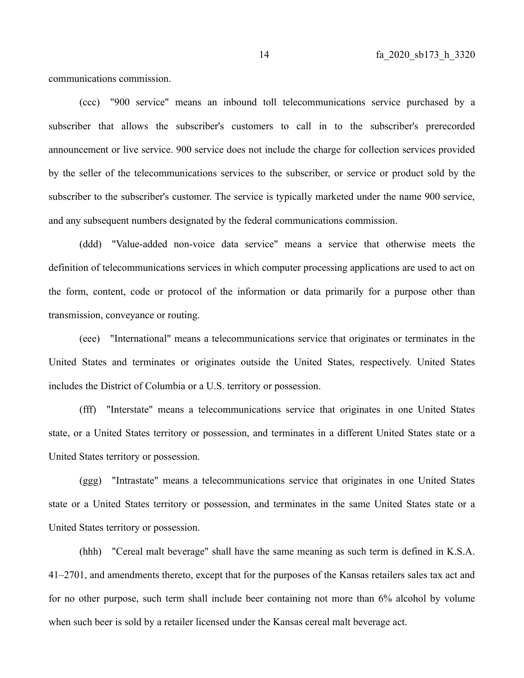communications commission.

(ccc) "900 service" means an inbound toll telecommunications service purchased by a subscriber that allows the subscriber's customers to call in to the subscriber's prerecorded announcement or live service. 900 service does not include the charge for collection services provided by the seller of the telecommunications services to the subscriber, or service or product sold by the subscriber to the subscriber's customer. The service is typically marketed under the name 900 service, and any subsequent numbers designated by the federal communications commission.

(ddd) "Value-added non-voice data service" means a service that otherwise meets the definition of telecommunications services in which computer processing applications are used to act on the form, content, code or protocol of the information or data primarily for a purpose other than transmission, conveyance or routing.

(eee) "International" means a telecommunications service that originates or terminates in the United States and terminates or originates outside the United States, respectively. United States includes the District of Columbia or a U.S. territory or possession.

(fff) "Interstate" means a telecommunications service that originates in one United States state, or a United States territory or possession, and terminates in a different United States state or a United States territory or possession.

(ggg) "Intrastate" means a telecommunications service that originates in one United States state or a United States territory or possession, and terminates in the same United States state or a United States territory or possession.

(hhh) "Cereal malt beverage" shall have the same meaning as such term is defined in K.S.A. 41–2701, and amendments thereto, except that for the purposes of the Kansas retailers sales tax act and for no other purpose, such term shall include beer containing not more than 6% alcohol by volume when such beer is sold by a retailer licensed under the Kansas cereal malt beverage act.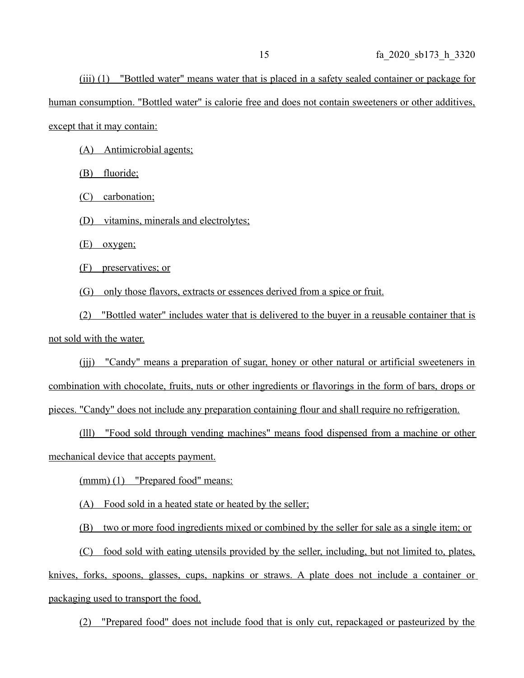(iii) (1) "Bottled water" means water that is placed in a safety sealed container or package for human consumption. "Bottled water" is calorie free and does not contain sweeteners or other additives, except that it may contain:

(A) Antimicrobial agents;

(B) fluoride;

(C) carbonation;

(D) vitamins, minerals and electrolytes;

(E) oxygen;

(F) preservatives; or

(G) only those flavors, extracts or essences derived from a spice or fruit.

(2) "Bottled water" includes water that is delivered to the buyer in a reusable container that is not sold with the water.

(jjj) "Candy" means a preparation of sugar, honey or other natural or artificial sweeteners in combination with chocolate, fruits, nuts or other ingredients or flavorings in the form of bars, drops or pieces. "Candy" does not include any preparation containing flour and shall require no refrigeration.

 (lll) "Food sold through vending machines" means food dispensed from a machine or other mechanical device that accepts payment.

(mmm) (1) "Prepared food" means:

(A) Food sold in a heated state or heated by the seller;

(B) two or more food ingredients mixed or combined by the seller for sale as a single item; or

(C) food sold with eating utensils provided by the seller, including, but not limited to, plates, knives, forks, spoons, glasses, cups, napkins or straws. A plate does not include a container or packaging used to transport the food.

(2) "Prepared food" does not include food that is only cut, repackaged or pasteurized by the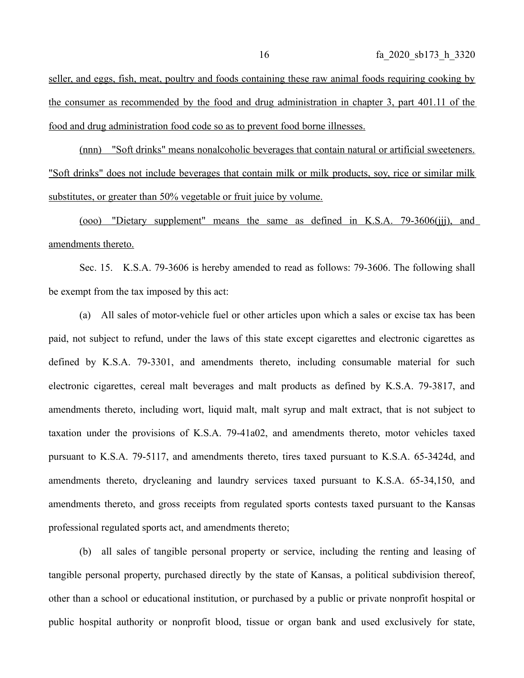seller, and eggs, fish, meat, poultry and foods containing these raw animal foods requiring cooking by the consumer as recommended by the food and drug administration in chapter 3, part 401.11 of the food and drug administration food code so as to prevent food borne illnesses.

(nnn) "Soft drinks" means nonalcoholic beverages that contain natural or artificial sweeteners. "Soft drinks" does not include beverages that contain milk or milk products, soy, rice or similar milk substitutes, or greater than 50% vegetable or fruit juice by volume.

(ooo) "Dietary supplement" means the same as defined in K.S.A. 79-3606(jjj), and amendments thereto.

Sec. 15. K.S.A. 79-3606 is hereby amended to read as follows: 79-3606. The following shall be exempt from the tax imposed by this act:

(a) All sales of motor-vehicle fuel or other articles upon which a sales or excise tax has been paid, not subject to refund, under the laws of this state except cigarettes and electronic cigarettes as defined by K.S.A. 79-3301, and amendments thereto, including consumable material for such electronic cigarettes, cereal malt beverages and malt products as defined by K.S.A. 79-3817, and amendments thereto, including wort, liquid malt, malt syrup and malt extract, that is not subject to taxation under the provisions of K.S.A. 79-41a02, and amendments thereto, motor vehicles taxed pursuant to K.S.A. 79-5117, and amendments thereto, tires taxed pursuant to K.S.A. 65-3424d, and amendments thereto, drycleaning and laundry services taxed pursuant to K.S.A. 65-34,150, and amendments thereto, and gross receipts from regulated sports contests taxed pursuant to the Kansas professional regulated sports act, and amendments thereto;

(b) all sales of tangible personal property or service, including the renting and leasing of tangible personal property, purchased directly by the state of Kansas, a political subdivision thereof, other than a school or educational institution, or purchased by a public or private nonprofit hospital or public hospital authority or nonprofit blood, tissue or organ bank and used exclusively for state,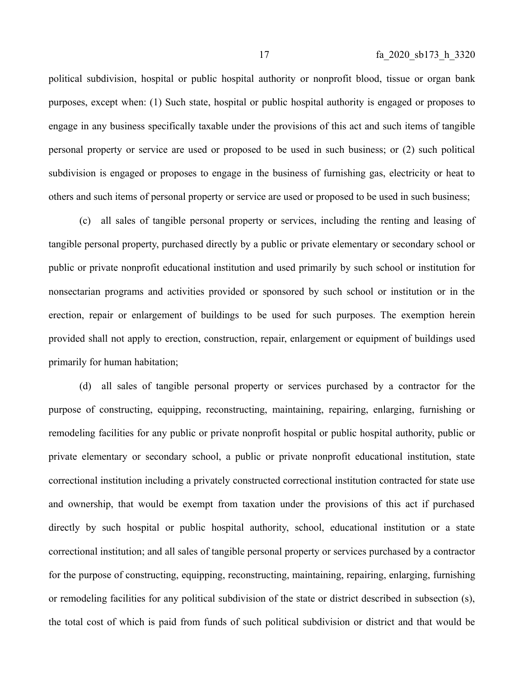political subdivision, hospital or public hospital authority or nonprofit blood, tissue or organ bank purposes, except when: (1) Such state, hospital or public hospital authority is engaged or proposes to engage in any business specifically taxable under the provisions of this act and such items of tangible personal property or service are used or proposed to be used in such business; or (2) such political subdivision is engaged or proposes to engage in the business of furnishing gas, electricity or heat to others and such items of personal property or service are used or proposed to be used in such business;

(c) all sales of tangible personal property or services, including the renting and leasing of tangible personal property, purchased directly by a public or private elementary or secondary school or public or private nonprofit educational institution and used primarily by such school or institution for nonsectarian programs and activities provided or sponsored by such school or institution or in the erection, repair or enlargement of buildings to be used for such purposes. The exemption herein provided shall not apply to erection, construction, repair, enlargement or equipment of buildings used primarily for human habitation;

(d) all sales of tangible personal property or services purchased by a contractor for the purpose of constructing, equipping, reconstructing, maintaining, repairing, enlarging, furnishing or remodeling facilities for any public or private nonprofit hospital or public hospital authority, public or private elementary or secondary school, a public or private nonprofit educational institution, state correctional institution including a privately constructed correctional institution contracted for state use and ownership, that would be exempt from taxation under the provisions of this act if purchased directly by such hospital or public hospital authority, school, educational institution or a state correctional institution; and all sales of tangible personal property or services purchased by a contractor for the purpose of constructing, equipping, reconstructing, maintaining, repairing, enlarging, furnishing or remodeling facilities for any political subdivision of the state or district described in subsection (s), the total cost of which is paid from funds of such political subdivision or district and that would be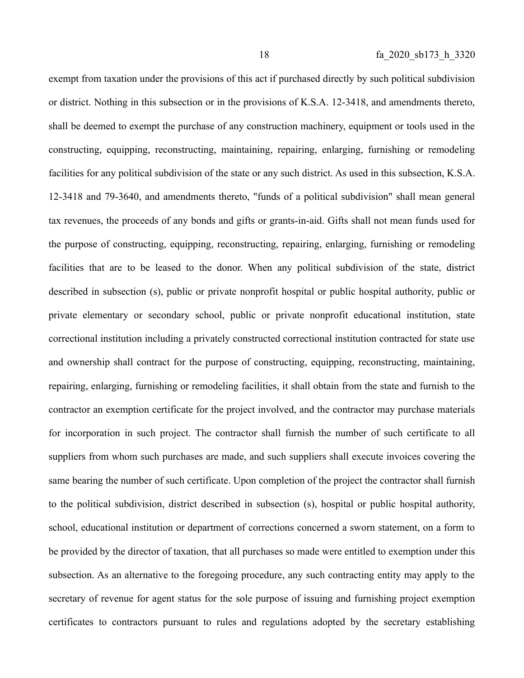exempt from taxation under the provisions of this act if purchased directly by such political subdivision or district. Nothing in this subsection or in the provisions of K.S.A. 12-3418, and amendments thereto, shall be deemed to exempt the purchase of any construction machinery, equipment or tools used in the constructing, equipping, reconstructing, maintaining, repairing, enlarging, furnishing or remodeling facilities for any political subdivision of the state or any such district. As used in this subsection, K.S.A. 12-3418 and 79-3640, and amendments thereto, "funds of a political subdivision" shall mean general tax revenues, the proceeds of any bonds and gifts or grants-in-aid. Gifts shall not mean funds used for the purpose of constructing, equipping, reconstructing, repairing, enlarging, furnishing or remodeling facilities that are to be leased to the donor. When any political subdivision of the state, district described in subsection (s), public or private nonprofit hospital or public hospital authority, public or private elementary or secondary school, public or private nonprofit educational institution, state correctional institution including a privately constructed correctional institution contracted for state use and ownership shall contract for the purpose of constructing, equipping, reconstructing, maintaining, repairing, enlarging, furnishing or remodeling facilities, it shall obtain from the state and furnish to the contractor an exemption certificate for the project involved, and the contractor may purchase materials for incorporation in such project. The contractor shall furnish the number of such certificate to all suppliers from whom such purchases are made, and such suppliers shall execute invoices covering the same bearing the number of such certificate. Upon completion of the project the contractor shall furnish to the political subdivision, district described in subsection (s), hospital or public hospital authority, school, educational institution or department of corrections concerned a sworn statement, on a form to be provided by the director of taxation, that all purchases so made were entitled to exemption under this subsection. As an alternative to the foregoing procedure, any such contracting entity may apply to the secretary of revenue for agent status for the sole purpose of issuing and furnishing project exemption certificates to contractors pursuant to rules and regulations adopted by the secretary establishing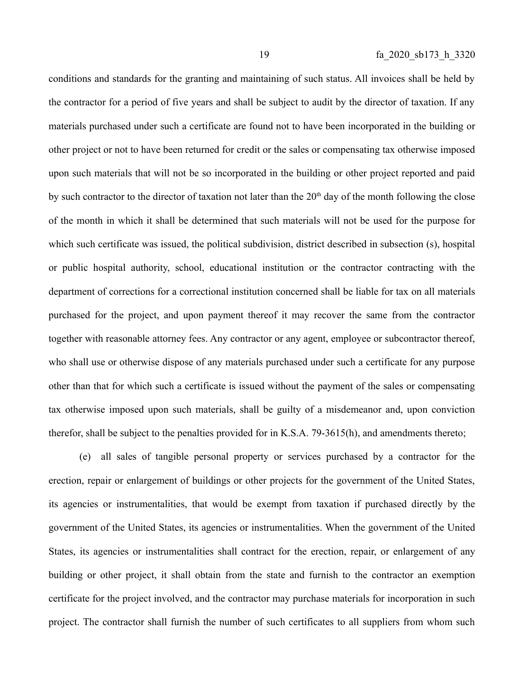conditions and standards for the granting and maintaining of such status. All invoices shall be held by the contractor for a period of five years and shall be subject to audit by the director of taxation. If any materials purchased under such a certificate are found not to have been incorporated in the building or other project or not to have been returned for credit or the sales or compensating tax otherwise imposed upon such materials that will not be so incorporated in the building or other project reported and paid by such contractor to the director of taxation not later than the  $20<sup>th</sup>$  day of the month following the close of the month in which it shall be determined that such materials will not be used for the purpose for which such certificate was issued, the political subdivision, district described in subsection (s), hospital or public hospital authority, school, educational institution or the contractor contracting with the department of corrections for a correctional institution concerned shall be liable for tax on all materials purchased for the project, and upon payment thereof it may recover the same from the contractor together with reasonable attorney fees. Any contractor or any agent, employee or subcontractor thereof, who shall use or otherwise dispose of any materials purchased under such a certificate for any purpose other than that for which such a certificate is issued without the payment of the sales or compensating tax otherwise imposed upon such materials, shall be guilty of a misdemeanor and, upon conviction therefor, shall be subject to the penalties provided for in K.S.A. 79-3615(h), and amendments thereto;

(e) all sales of tangible personal property or services purchased by a contractor for the erection, repair or enlargement of buildings or other projects for the government of the United States, its agencies or instrumentalities, that would be exempt from taxation if purchased directly by the government of the United States, its agencies or instrumentalities. When the government of the United States, its agencies or instrumentalities shall contract for the erection, repair, or enlargement of any building or other project, it shall obtain from the state and furnish to the contractor an exemption certificate for the project involved, and the contractor may purchase materials for incorporation in such project. The contractor shall furnish the number of such certificates to all suppliers from whom such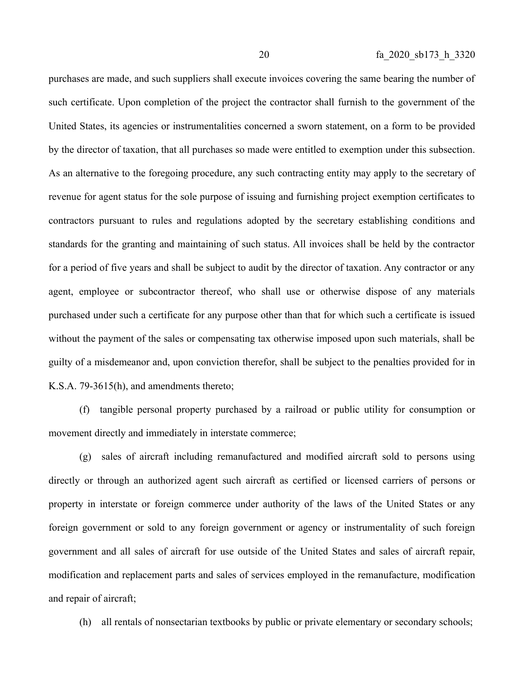purchases are made, and such suppliers shall execute invoices covering the same bearing the number of such certificate. Upon completion of the project the contractor shall furnish to the government of the United States, its agencies or instrumentalities concerned a sworn statement, on a form to be provided by the director of taxation, that all purchases so made were entitled to exemption under this subsection. As an alternative to the foregoing procedure, any such contracting entity may apply to the secretary of revenue for agent status for the sole purpose of issuing and furnishing project exemption certificates to contractors pursuant to rules and regulations adopted by the secretary establishing conditions and standards for the granting and maintaining of such status. All invoices shall be held by the contractor for a period of five years and shall be subject to audit by the director of taxation. Any contractor or any agent, employee or subcontractor thereof, who shall use or otherwise dispose of any materials purchased under such a certificate for any purpose other than that for which such a certificate is issued without the payment of the sales or compensating tax otherwise imposed upon such materials, shall be guilty of a misdemeanor and, upon conviction therefor, shall be subject to the penalties provided for in K.S.A. 79-3615(h), and amendments thereto;

(f) tangible personal property purchased by a railroad or public utility for consumption or movement directly and immediately in interstate commerce;

(g) sales of aircraft including remanufactured and modified aircraft sold to persons using directly or through an authorized agent such aircraft as certified or licensed carriers of persons or property in interstate or foreign commerce under authority of the laws of the United States or any foreign government or sold to any foreign government or agency or instrumentality of such foreign government and all sales of aircraft for use outside of the United States and sales of aircraft repair, modification and replacement parts and sales of services employed in the remanufacture, modification and repair of aircraft;

(h) all rentals of nonsectarian textbooks by public or private elementary or secondary schools;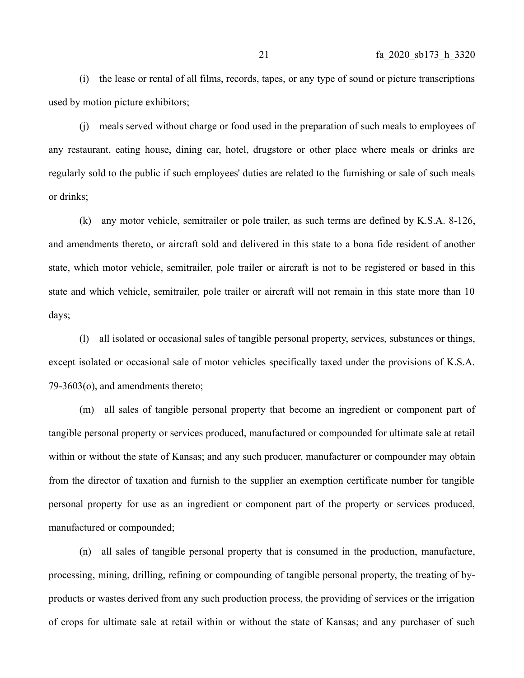(i) the lease or rental of all films, records, tapes, or any type of sound or picture transcriptions used by motion picture exhibitors;

(j) meals served without charge or food used in the preparation of such meals to employees of any restaurant, eating house, dining car, hotel, drugstore or other place where meals or drinks are regularly sold to the public if such employees' duties are related to the furnishing or sale of such meals or drinks;

(k) any motor vehicle, semitrailer or pole trailer, as such terms are defined by K.S.A. 8-126, and amendments thereto, or aircraft sold and delivered in this state to a bona fide resident of another state, which motor vehicle, semitrailer, pole trailer or aircraft is not to be registered or based in this state and which vehicle, semitrailer, pole trailer or aircraft will not remain in this state more than 10 days;

(l) all isolated or occasional sales of tangible personal property, services, substances or things, except isolated or occasional sale of motor vehicles specifically taxed under the provisions of K.S.A. 79-3603(o), and amendments thereto;

(m) all sales of tangible personal property that become an ingredient or component part of tangible personal property or services produced, manufactured or compounded for ultimate sale at retail within or without the state of Kansas; and any such producer, manufacturer or compounder may obtain from the director of taxation and furnish to the supplier an exemption certificate number for tangible personal property for use as an ingredient or component part of the property or services produced, manufactured or compounded;

(n) all sales of tangible personal property that is consumed in the production, manufacture, processing, mining, drilling, refining or compounding of tangible personal property, the treating of byproducts or wastes derived from any such production process, the providing of services or the irrigation of crops for ultimate sale at retail within or without the state of Kansas; and any purchaser of such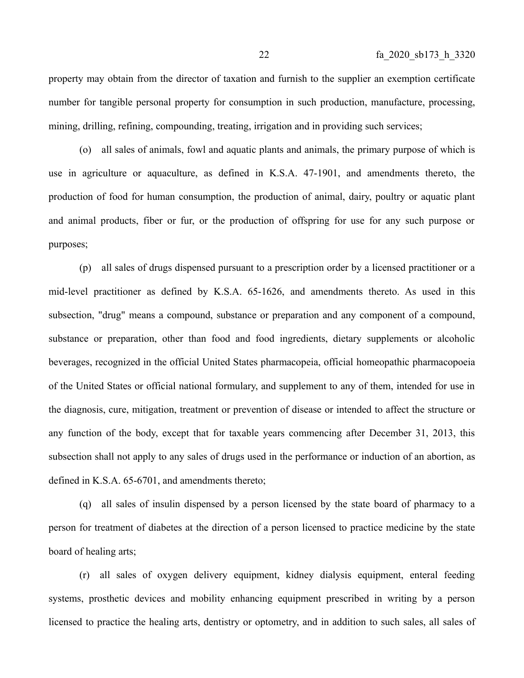property may obtain from the director of taxation and furnish to the supplier an exemption certificate number for tangible personal property for consumption in such production, manufacture, processing, mining, drilling, refining, compounding, treating, irrigation and in providing such services;

(o) all sales of animals, fowl and aquatic plants and animals, the primary purpose of which is use in agriculture or aquaculture, as defined in K.S.A. 47-1901, and amendments thereto, the production of food for human consumption, the production of animal, dairy, poultry or aquatic plant and animal products, fiber or fur, or the production of offspring for use for any such purpose or purposes;

(p) all sales of drugs dispensed pursuant to a prescription order by a licensed practitioner or a mid-level practitioner as defined by K.S.A. 65-1626, and amendments thereto. As used in this subsection, "drug" means a compound, substance or preparation and any component of a compound, substance or preparation, other than food and food ingredients, dietary supplements or alcoholic beverages, recognized in the official United States pharmacopeia, official homeopathic pharmacopoeia of the United States or official national formulary, and supplement to any of them, intended for use in the diagnosis, cure, mitigation, treatment or prevention of disease or intended to affect the structure or any function of the body, except that for taxable years commencing after December 31, 2013, this subsection shall not apply to any sales of drugs used in the performance or induction of an abortion, as defined in K.S.A. 65-6701, and amendments thereto;

(q) all sales of insulin dispensed by a person licensed by the state board of pharmacy to a person for treatment of diabetes at the direction of a person licensed to practice medicine by the state board of healing arts;

(r) all sales of oxygen delivery equipment, kidney dialysis equipment, enteral feeding systems, prosthetic devices and mobility enhancing equipment prescribed in writing by a person licensed to practice the healing arts, dentistry or optometry, and in addition to such sales, all sales of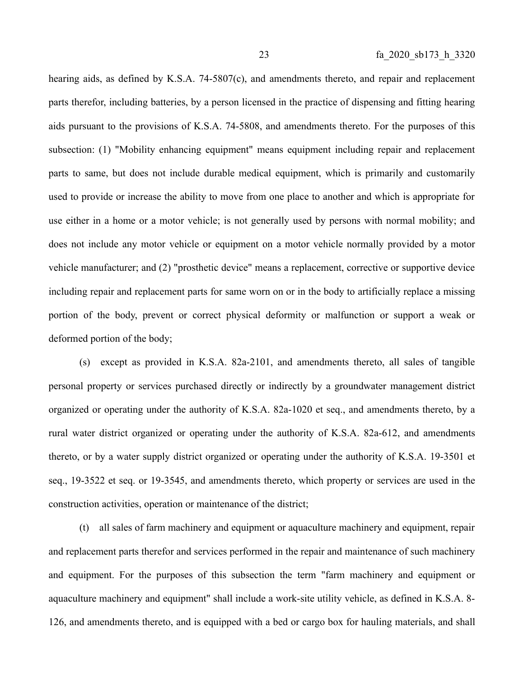hearing aids, as defined by K.S.A. 74-5807(c), and amendments thereto, and repair and replacement parts therefor, including batteries, by a person licensed in the practice of dispensing and fitting hearing aids pursuant to the provisions of K.S.A. 74-5808, and amendments thereto. For the purposes of this subsection: (1) "Mobility enhancing equipment" means equipment including repair and replacement parts to same, but does not include durable medical equipment, which is primarily and customarily used to provide or increase the ability to move from one place to another and which is appropriate for use either in a home or a motor vehicle; is not generally used by persons with normal mobility; and does not include any motor vehicle or equipment on a motor vehicle normally provided by a motor vehicle manufacturer; and (2) "prosthetic device" means a replacement, corrective or supportive device including repair and replacement parts for same worn on or in the body to artificially replace a missing portion of the body, prevent or correct physical deformity or malfunction or support a weak or deformed portion of the body;

(s) except as provided in K.S.A. 82a-2101, and amendments thereto, all sales of tangible personal property or services purchased directly or indirectly by a groundwater management district organized or operating under the authority of K.S.A. 82a-1020 et seq., and amendments thereto, by a rural water district organized or operating under the authority of K.S.A. 82a-612, and amendments thereto, or by a water supply district organized or operating under the authority of K.S.A. 19-3501 et seq., 19-3522 et seq. or 19-3545, and amendments thereto, which property or services are used in the construction activities, operation or maintenance of the district;

(t) all sales of farm machinery and equipment or aquaculture machinery and equipment, repair and replacement parts therefor and services performed in the repair and maintenance of such machinery and equipment. For the purposes of this subsection the term "farm machinery and equipment or aquaculture machinery and equipment" shall include a work-site utility vehicle, as defined in K.S.A. 8- 126, and amendments thereto, and is equipped with a bed or cargo box for hauling materials, and shall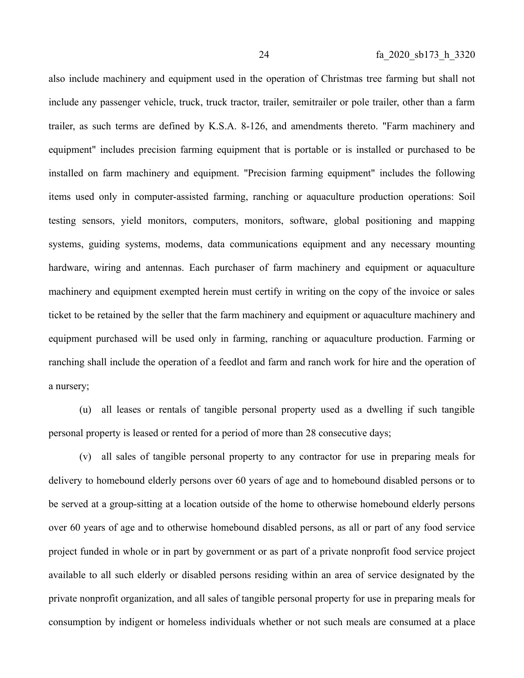also include machinery and equipment used in the operation of Christmas tree farming but shall not include any passenger vehicle, truck, truck tractor, trailer, semitrailer or pole trailer, other than a farm trailer, as such terms are defined by K.S.A. 8-126, and amendments thereto. "Farm machinery and equipment" includes precision farming equipment that is portable or is installed or purchased to be installed on farm machinery and equipment. "Precision farming equipment" includes the following items used only in computer-assisted farming, ranching or aquaculture production operations: Soil testing sensors, yield monitors, computers, monitors, software, global positioning and mapping systems, guiding systems, modems, data communications equipment and any necessary mounting hardware, wiring and antennas. Each purchaser of farm machinery and equipment or aquaculture machinery and equipment exempted herein must certify in writing on the copy of the invoice or sales ticket to be retained by the seller that the farm machinery and equipment or aquaculture machinery and equipment purchased will be used only in farming, ranching or aquaculture production. Farming or ranching shall include the operation of a feedlot and farm and ranch work for hire and the operation of a nursery;

(u) all leases or rentals of tangible personal property used as a dwelling if such tangible personal property is leased or rented for a period of more than 28 consecutive days;

(v) all sales of tangible personal property to any contractor for use in preparing meals for delivery to homebound elderly persons over 60 years of age and to homebound disabled persons or to be served at a group-sitting at a location outside of the home to otherwise homebound elderly persons over 60 years of age and to otherwise homebound disabled persons, as all or part of any food service project funded in whole or in part by government or as part of a private nonprofit food service project available to all such elderly or disabled persons residing within an area of service designated by the private nonprofit organization, and all sales of tangible personal property for use in preparing meals for consumption by indigent or homeless individuals whether or not such meals are consumed at a place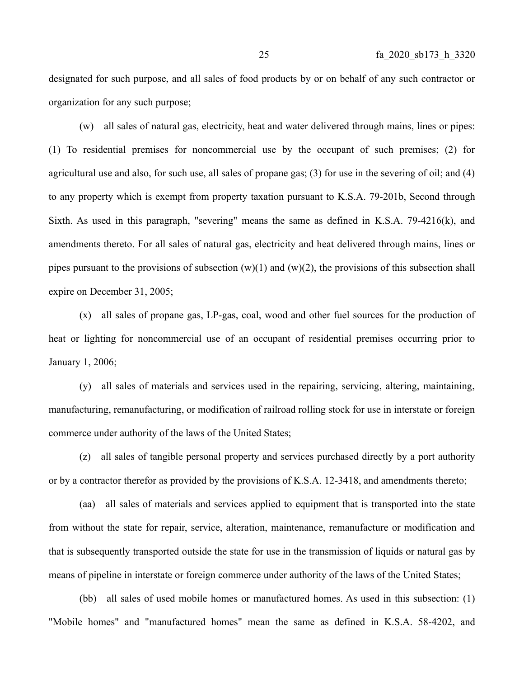designated for such purpose, and all sales of food products by or on behalf of any such contractor or organization for any such purpose;

(w) all sales of natural gas, electricity, heat and water delivered through mains, lines or pipes: (1) To residential premises for noncommercial use by the occupant of such premises; (2) for agricultural use and also, for such use, all sales of propane gas; (3) for use in the severing of oil; and (4) to any property which is exempt from property taxation pursuant to K.S.A. 79-201b, Second through Sixth. As used in this paragraph, "severing" means the same as defined in K.S.A. 79-4216(k), and amendments thereto. For all sales of natural gas, electricity and heat delivered through mains, lines or pipes pursuant to the provisions of subsection  $(w)(1)$  and  $(w)(2)$ , the provisions of this subsection shall expire on December 31, 2005;

(x) all sales of propane gas, LP-gas, coal, wood and other fuel sources for the production of heat or lighting for noncommercial use of an occupant of residential premises occurring prior to January 1, 2006;

(y) all sales of materials and services used in the repairing, servicing, altering, maintaining, manufacturing, remanufacturing, or modification of railroad rolling stock for use in interstate or foreign commerce under authority of the laws of the United States;

(z) all sales of tangible personal property and services purchased directly by a port authority or by a contractor therefor as provided by the provisions of K.S.A. 12-3418, and amendments thereto;

(aa) all sales of materials and services applied to equipment that is transported into the state from without the state for repair, service, alteration, maintenance, remanufacture or modification and that is subsequently transported outside the state for use in the transmission of liquids or natural gas by means of pipeline in interstate or foreign commerce under authority of the laws of the United States;

(bb) all sales of used mobile homes or manufactured homes. As used in this subsection: (1) "Mobile homes" and "manufactured homes" mean the same as defined in K.S.A. 58-4202, and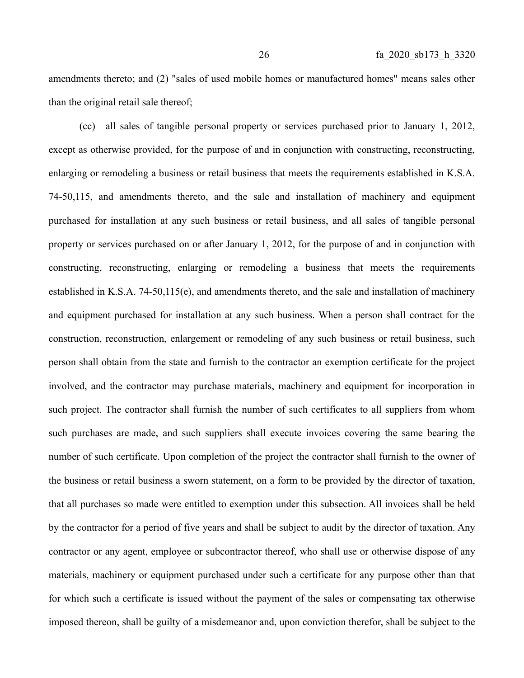amendments thereto; and (2) "sales of used mobile homes or manufactured homes" means sales other than the original retail sale thereof;

(cc) all sales of tangible personal property or services purchased prior to January 1, 2012, except as otherwise provided, for the purpose of and in conjunction with constructing, reconstructing, enlarging or remodeling a business or retail business that meets the requirements established in K.S.A. 74-50,115, and amendments thereto, and the sale and installation of machinery and equipment purchased for installation at any such business or retail business, and all sales of tangible personal property or services purchased on or after January 1, 2012, for the purpose of and in conjunction with constructing, reconstructing, enlarging or remodeling a business that meets the requirements established in K.S.A. 74-50,115(e), and amendments thereto, and the sale and installation of machinery and equipment purchased for installation at any such business. When a person shall contract for the construction, reconstruction, enlargement or remodeling of any such business or retail business, such person shall obtain from the state and furnish to the contractor an exemption certificate for the project involved, and the contractor may purchase materials, machinery and equipment for incorporation in such project. The contractor shall furnish the number of such certificates to all suppliers from whom such purchases are made, and such suppliers shall execute invoices covering the same bearing the number of such certificate. Upon completion of the project the contractor shall furnish to the owner of the business or retail business a sworn statement, on a form to be provided by the director of taxation, that all purchases so made were entitled to exemption under this subsection. All invoices shall be held by the contractor for a period of five years and shall be subject to audit by the director of taxation. Any contractor or any agent, employee or subcontractor thereof, who shall use or otherwise dispose of any materials, machinery or equipment purchased under such a certificate for any purpose other than that for which such a certificate is issued without the payment of the sales or compensating tax otherwise imposed thereon, shall be guilty of a misdemeanor and, upon conviction therefor, shall be subject to the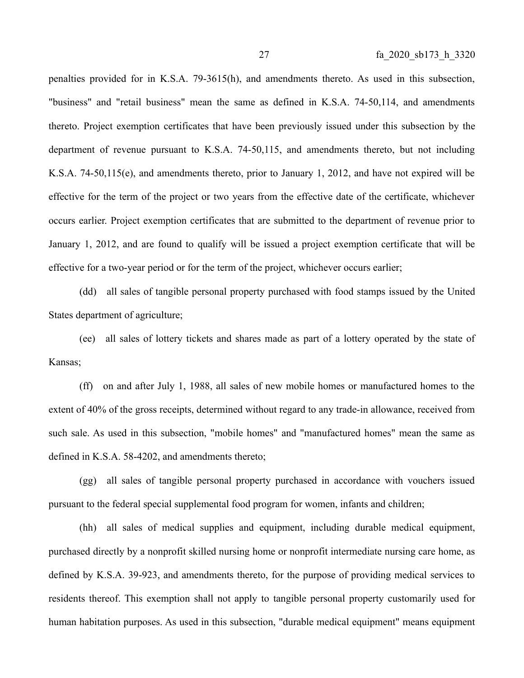penalties provided for in K.S.A. 79-3615(h), and amendments thereto. As used in this subsection, "business" and "retail business" mean the same as defined in K.S.A. 74-50,114, and amendments thereto. Project exemption certificates that have been previously issued under this subsection by the department of revenue pursuant to K.S.A. 74-50,115, and amendments thereto, but not including K.S.A. 74-50,115(e), and amendments thereto, prior to January 1, 2012, and have not expired will be effective for the term of the project or two years from the effective date of the certificate, whichever occurs earlier. Project exemption certificates that are submitted to the department of revenue prior to January 1, 2012, and are found to qualify will be issued a project exemption certificate that will be effective for a two-year period or for the term of the project, whichever occurs earlier;

(dd) all sales of tangible personal property purchased with food stamps issued by the United States department of agriculture;

(ee) all sales of lottery tickets and shares made as part of a lottery operated by the state of Kansas;

(ff) on and after July 1, 1988, all sales of new mobile homes or manufactured homes to the extent of 40% of the gross receipts, determined without regard to any trade-in allowance, received from such sale. As used in this subsection, "mobile homes" and "manufactured homes" mean the same as defined in K.S.A. 58-4202, and amendments thereto;

(gg) all sales of tangible personal property purchased in accordance with vouchers issued pursuant to the federal special supplemental food program for women, infants and children;

(hh) all sales of medical supplies and equipment, including durable medical equipment, purchased directly by a nonprofit skilled nursing home or nonprofit intermediate nursing care home, as defined by K.S.A. 39-923, and amendments thereto, for the purpose of providing medical services to residents thereof. This exemption shall not apply to tangible personal property customarily used for human habitation purposes. As used in this subsection, "durable medical equipment" means equipment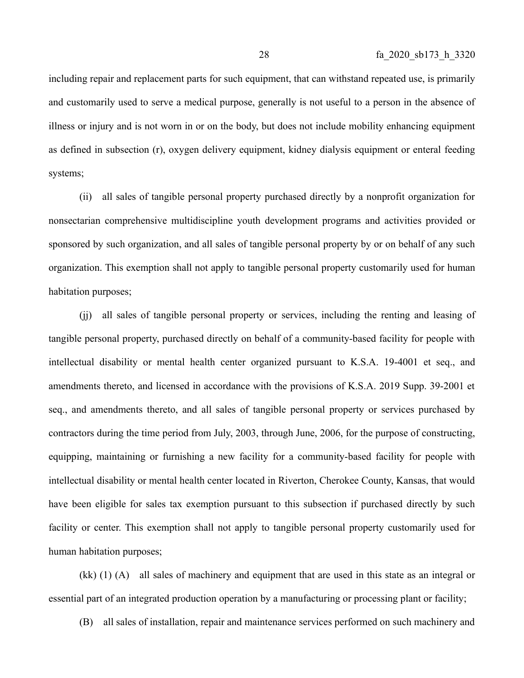including repair and replacement parts for such equipment, that can withstand repeated use, is primarily and customarily used to serve a medical purpose, generally is not useful to a person in the absence of illness or injury and is not worn in or on the body, but does not include mobility enhancing equipment as defined in subsection (r), oxygen delivery equipment, kidney dialysis equipment or enteral feeding systems;

(ii) all sales of tangible personal property purchased directly by a nonprofit organization for nonsectarian comprehensive multidiscipline youth development programs and activities provided or sponsored by such organization, and all sales of tangible personal property by or on behalf of any such organization. This exemption shall not apply to tangible personal property customarily used for human habitation purposes;

(jj) all sales of tangible personal property or services, including the renting and leasing of tangible personal property, purchased directly on behalf of a community-based facility for people with intellectual disability or mental health center organized pursuant to K.S.A. 19-4001 et seq., and amendments thereto, and licensed in accordance with the provisions of K.S.A. 2019 Supp. 39-2001 et seq., and amendments thereto, and all sales of tangible personal property or services purchased by contractors during the time period from July, 2003, through June, 2006, for the purpose of constructing, equipping, maintaining or furnishing a new facility for a community-based facility for people with intellectual disability or mental health center located in Riverton, Cherokee County, Kansas, that would have been eligible for sales tax exemption pursuant to this subsection if purchased directly by such facility or center. This exemption shall not apply to tangible personal property customarily used for human habitation purposes;

(kk) (1) (A) all sales of machinery and equipment that are used in this state as an integral or essential part of an integrated production operation by a manufacturing or processing plant or facility;

(B) all sales of installation, repair and maintenance services performed on such machinery and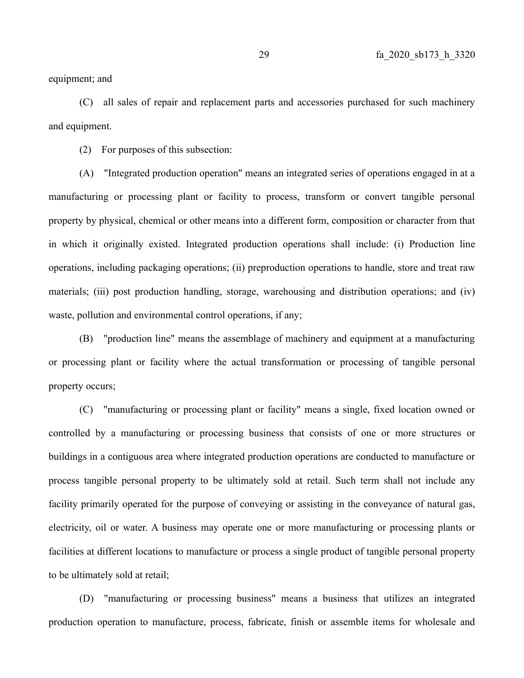equipment; and

(C) all sales of repair and replacement parts and accessories purchased for such machinery and equipment.

(2) For purposes of this subsection:

(A) "Integrated production operation" means an integrated series of operations engaged in at a manufacturing or processing plant or facility to process, transform or convert tangible personal property by physical, chemical or other means into a different form, composition or character from that in which it originally existed. Integrated production operations shall include: (i) Production line operations, including packaging operations; (ii) preproduction operations to handle, store and treat raw materials; (iii) post production handling, storage, warehousing and distribution operations; and (iv) waste, pollution and environmental control operations, if any;

(B) "production line" means the assemblage of machinery and equipment at a manufacturing or processing plant or facility where the actual transformation or processing of tangible personal property occurs;

(C) "manufacturing or processing plant or facility" means a single, fixed location owned or controlled by a manufacturing or processing business that consists of one or more structures or buildings in a contiguous area where integrated production operations are conducted to manufacture or process tangible personal property to be ultimately sold at retail. Such term shall not include any facility primarily operated for the purpose of conveying or assisting in the conveyance of natural gas, electricity, oil or water. A business may operate one or more manufacturing or processing plants or facilities at different locations to manufacture or process a single product of tangible personal property to be ultimately sold at retail;

(D) "manufacturing or processing business" means a business that utilizes an integrated production operation to manufacture, process, fabricate, finish or assemble items for wholesale and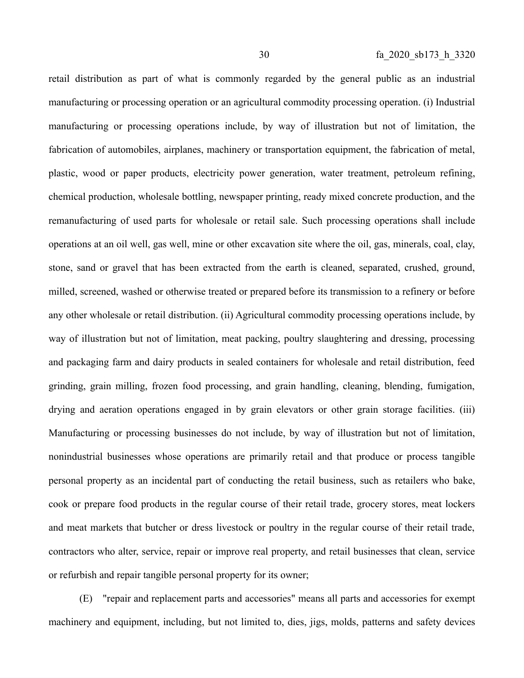retail distribution as part of what is commonly regarded by the general public as an industrial manufacturing or processing operation or an agricultural commodity processing operation. (i) Industrial manufacturing or processing operations include, by way of illustration but not of limitation, the fabrication of automobiles, airplanes, machinery or transportation equipment, the fabrication of metal, plastic, wood or paper products, electricity power generation, water treatment, petroleum refining, chemical production, wholesale bottling, newspaper printing, ready mixed concrete production, and the remanufacturing of used parts for wholesale or retail sale. Such processing operations shall include operations at an oil well, gas well, mine or other excavation site where the oil, gas, minerals, coal, clay, stone, sand or gravel that has been extracted from the earth is cleaned, separated, crushed, ground, milled, screened, washed or otherwise treated or prepared before its transmission to a refinery or before any other wholesale or retail distribution. (ii) Agricultural commodity processing operations include, by way of illustration but not of limitation, meat packing, poultry slaughtering and dressing, processing and packaging farm and dairy products in sealed containers for wholesale and retail distribution, feed grinding, grain milling, frozen food processing, and grain handling, cleaning, blending, fumigation, drying and aeration operations engaged in by grain elevators or other grain storage facilities. (iii) Manufacturing or processing businesses do not include, by way of illustration but not of limitation, nonindustrial businesses whose operations are primarily retail and that produce or process tangible personal property as an incidental part of conducting the retail business, such as retailers who bake, cook or prepare food products in the regular course of their retail trade, grocery stores, meat lockers and meat markets that butcher or dress livestock or poultry in the regular course of their retail trade, contractors who alter, service, repair or improve real property, and retail businesses that clean, service or refurbish and repair tangible personal property for its owner;

(E) "repair and replacement parts and accessories" means all parts and accessories for exempt machinery and equipment, including, but not limited to, dies, jigs, molds, patterns and safety devices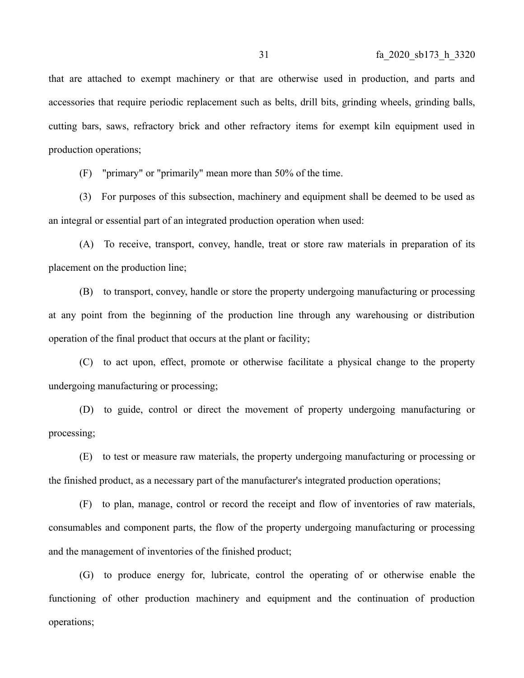that are attached to exempt machinery or that are otherwise used in production, and parts and accessories that require periodic replacement such as belts, drill bits, grinding wheels, grinding balls, cutting bars, saws, refractory brick and other refractory items for exempt kiln equipment used in production operations;

(F) "primary" or "primarily" mean more than 50% of the time.

(3) For purposes of this subsection, machinery and equipment shall be deemed to be used as an integral or essential part of an integrated production operation when used:

(A) To receive, transport, convey, handle, treat or store raw materials in preparation of its placement on the production line;

(B) to transport, convey, handle or store the property undergoing manufacturing or processing at any point from the beginning of the production line through any warehousing or distribution operation of the final product that occurs at the plant or facility;

(C) to act upon, effect, promote or otherwise facilitate a physical change to the property undergoing manufacturing or processing;

(D) to guide, control or direct the movement of property undergoing manufacturing or processing;

(E) to test or measure raw materials, the property undergoing manufacturing or processing or the finished product, as a necessary part of the manufacturer's integrated production operations;

(F) to plan, manage, control or record the receipt and flow of inventories of raw materials, consumables and component parts, the flow of the property undergoing manufacturing or processing and the management of inventories of the finished product;

(G) to produce energy for, lubricate, control the operating of or otherwise enable the functioning of other production machinery and equipment and the continuation of production operations;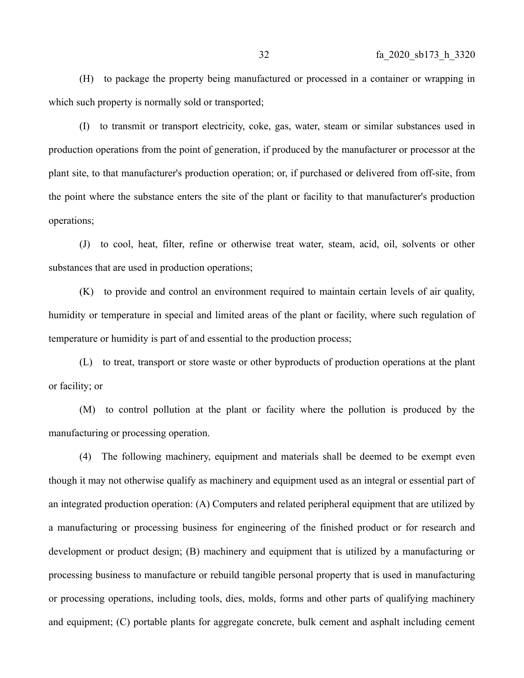(H) to package the property being manufactured or processed in a container or wrapping in which such property is normally sold or transported;

(I) to transmit or transport electricity, coke, gas, water, steam or similar substances used in production operations from the point of generation, if produced by the manufacturer or processor at the plant site, to that manufacturer's production operation; or, if purchased or delivered from off-site, from the point where the substance enters the site of the plant or facility to that manufacturer's production operations;

(J) to cool, heat, filter, refine or otherwise treat water, steam, acid, oil, solvents or other substances that are used in production operations;

(K) to provide and control an environment required to maintain certain levels of air quality, humidity or temperature in special and limited areas of the plant or facility, where such regulation of temperature or humidity is part of and essential to the production process;

(L) to treat, transport or store waste or other byproducts of production operations at the plant or facility; or

(M) to control pollution at the plant or facility where the pollution is produced by the manufacturing or processing operation.

(4) The following machinery, equipment and materials shall be deemed to be exempt even though it may not otherwise qualify as machinery and equipment used as an integral or essential part of an integrated production operation: (A) Computers and related peripheral equipment that are utilized by a manufacturing or processing business for engineering of the finished product or for research and development or product design; (B) machinery and equipment that is utilized by a manufacturing or processing business to manufacture or rebuild tangible personal property that is used in manufacturing or processing operations, including tools, dies, molds, forms and other parts of qualifying machinery and equipment; (C) portable plants for aggregate concrete, bulk cement and asphalt including cement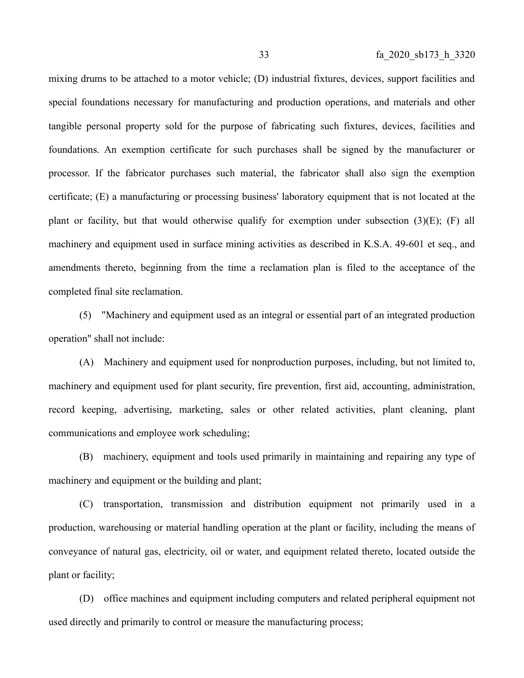mixing drums to be attached to a motor vehicle; (D) industrial fixtures, devices, support facilities and special foundations necessary for manufacturing and production operations, and materials and other tangible personal property sold for the purpose of fabricating such fixtures, devices, facilities and foundations. An exemption certificate for such purchases shall be signed by the manufacturer or processor. If the fabricator purchases such material, the fabricator shall also sign the exemption certificate; (E) a manufacturing or processing business' laboratory equipment that is not located at the plant or facility, but that would otherwise qualify for exemption under subsection  $(3)(E)$ ; (F) all machinery and equipment used in surface mining activities as described in K.S.A. 49-601 et seq., and amendments thereto, beginning from the time a reclamation plan is filed to the acceptance of the completed final site reclamation.

(5) "Machinery and equipment used as an integral or essential part of an integrated production operation" shall not include:

(A) Machinery and equipment used for nonproduction purposes, including, but not limited to, machinery and equipment used for plant security, fire prevention, first aid, accounting, administration, record keeping, advertising, marketing, sales or other related activities, plant cleaning, plant communications and employee work scheduling;

(B) machinery, equipment and tools used primarily in maintaining and repairing any type of machinery and equipment or the building and plant;

(C) transportation, transmission and distribution equipment not primarily used in a production, warehousing or material handling operation at the plant or facility, including the means of conveyance of natural gas, electricity, oil or water, and equipment related thereto, located outside the plant or facility;

(D) office machines and equipment including computers and related peripheral equipment not used directly and primarily to control or measure the manufacturing process;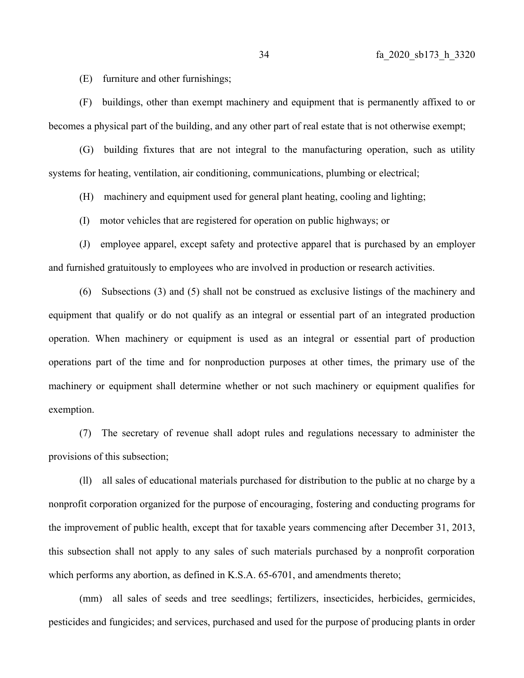(E) furniture and other furnishings;

(F) buildings, other than exempt machinery and equipment that is permanently affixed to or becomes a physical part of the building, and any other part of real estate that is not otherwise exempt;

(G) building fixtures that are not integral to the manufacturing operation, such as utility systems for heating, ventilation, air conditioning, communications, plumbing or electrical;

(H) machinery and equipment used for general plant heating, cooling and lighting;

(I) motor vehicles that are registered for operation on public highways; or

(J) employee apparel, except safety and protective apparel that is purchased by an employer and furnished gratuitously to employees who are involved in production or research activities.

(6) Subsections (3) and (5) shall not be construed as exclusive listings of the machinery and equipment that qualify or do not qualify as an integral or essential part of an integrated production operation. When machinery or equipment is used as an integral or essential part of production operations part of the time and for nonproduction purposes at other times, the primary use of the machinery or equipment shall determine whether or not such machinery or equipment qualifies for exemption.

(7) The secretary of revenue shall adopt rules and regulations necessary to administer the provisions of this subsection;

(ll) all sales of educational materials purchased for distribution to the public at no charge by a nonprofit corporation organized for the purpose of encouraging, fostering and conducting programs for the improvement of public health, except that for taxable years commencing after December 31, 2013, this subsection shall not apply to any sales of such materials purchased by a nonprofit corporation which performs any abortion, as defined in K.S.A. 65-6701, and amendments thereto;

(mm) all sales of seeds and tree seedlings; fertilizers, insecticides, herbicides, germicides, pesticides and fungicides; and services, purchased and used for the purpose of producing plants in order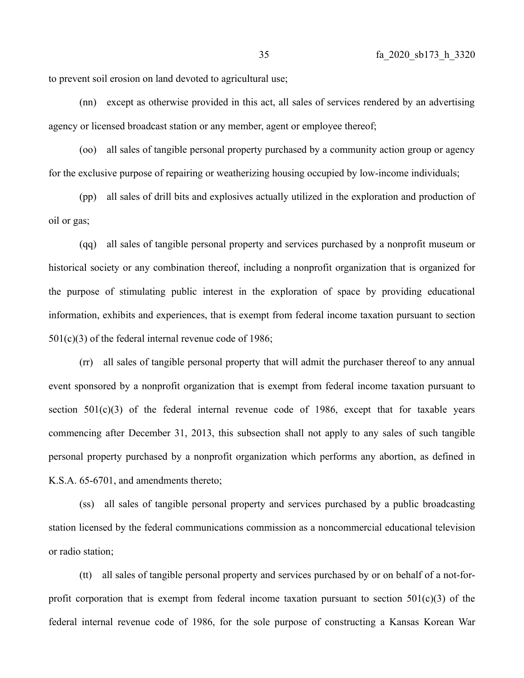to prevent soil erosion on land devoted to agricultural use;

(nn) except as otherwise provided in this act, all sales of services rendered by an advertising agency or licensed broadcast station or any member, agent or employee thereof;

(oo) all sales of tangible personal property purchased by a community action group or agency for the exclusive purpose of repairing or weatherizing housing occupied by low-income individuals;

(pp) all sales of drill bits and explosives actually utilized in the exploration and production of oil or gas;

(qq) all sales of tangible personal property and services purchased by a nonprofit museum or historical society or any combination thereof, including a nonprofit organization that is organized for the purpose of stimulating public interest in the exploration of space by providing educational information, exhibits and experiences, that is exempt from federal income taxation pursuant to section 501(c)(3) of the federal internal revenue code of 1986;

(rr) all sales of tangible personal property that will admit the purchaser thereof to any annual event sponsored by a nonprofit organization that is exempt from federal income taxation pursuant to section  $501(c)(3)$  of the federal internal revenue code of 1986, except that for taxable years commencing after December 31, 2013, this subsection shall not apply to any sales of such tangible personal property purchased by a nonprofit organization which performs any abortion, as defined in K.S.A. 65-6701, and amendments thereto;

(ss) all sales of tangible personal property and services purchased by a public broadcasting station licensed by the federal communications commission as a noncommercial educational television or radio station;

(tt) all sales of tangible personal property and services purchased by or on behalf of a not-forprofit corporation that is exempt from federal income taxation pursuant to section  $501(c)(3)$  of the federal internal revenue code of 1986, for the sole purpose of constructing a Kansas Korean War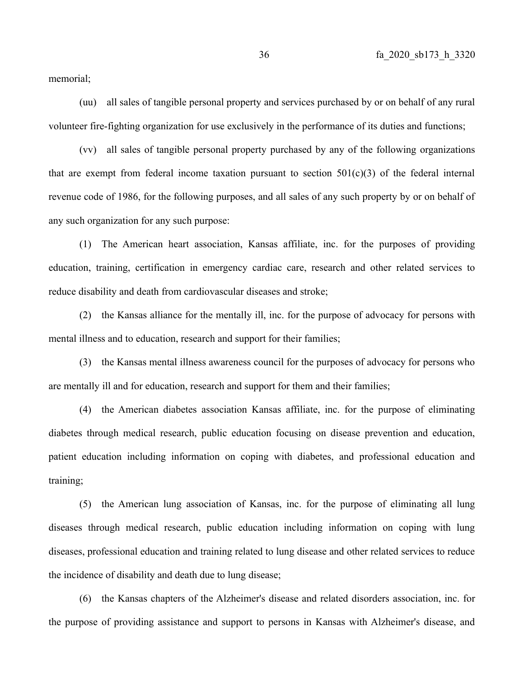memorial;

(uu) all sales of tangible personal property and services purchased by or on behalf of any rural volunteer fire-fighting organization for use exclusively in the performance of its duties and functions;

(vv) all sales of tangible personal property purchased by any of the following organizations that are exempt from federal income taxation pursuant to section  $501(c)(3)$  of the federal internal revenue code of 1986, for the following purposes, and all sales of any such property by or on behalf of any such organization for any such purpose:

(1) The American heart association, Kansas affiliate, inc. for the purposes of providing education, training, certification in emergency cardiac care, research and other related services to reduce disability and death from cardiovascular diseases and stroke;

(2) the Kansas alliance for the mentally ill, inc. for the purpose of advocacy for persons with mental illness and to education, research and support for their families;

(3) the Kansas mental illness awareness council for the purposes of advocacy for persons who are mentally ill and for education, research and support for them and their families;

(4) the American diabetes association Kansas affiliate, inc. for the purpose of eliminating diabetes through medical research, public education focusing on disease prevention and education, patient education including information on coping with diabetes, and professional education and training;

(5) the American lung association of Kansas, inc. for the purpose of eliminating all lung diseases through medical research, public education including information on coping with lung diseases, professional education and training related to lung disease and other related services to reduce the incidence of disability and death due to lung disease;

(6) the Kansas chapters of the Alzheimer's disease and related disorders association, inc. for the purpose of providing assistance and support to persons in Kansas with Alzheimer's disease, and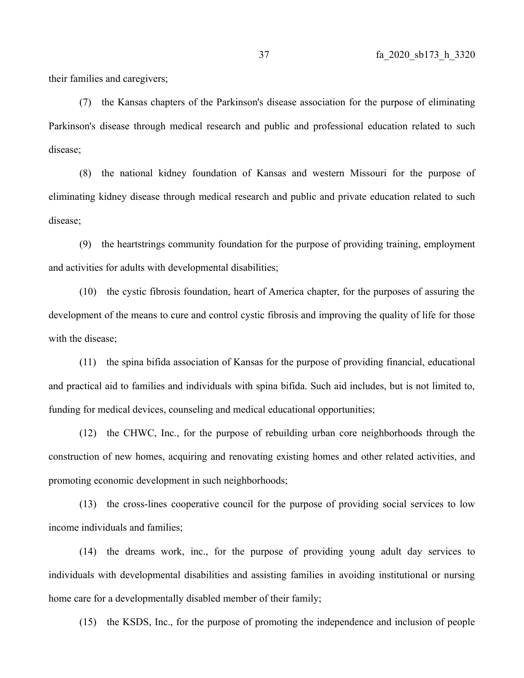their families and caregivers;

(7) the Kansas chapters of the Parkinson's disease association for the purpose of eliminating Parkinson's disease through medical research and public and professional education related to such disease;

(8) the national kidney foundation of Kansas and western Missouri for the purpose of eliminating kidney disease through medical research and public and private education related to such disease;

(9) the heartstrings community foundation for the purpose of providing training, employment and activities for adults with developmental disabilities;

(10) the cystic fibrosis foundation, heart of America chapter, for the purposes of assuring the development of the means to cure and control cystic fibrosis and improving the quality of life for those with the disease;

(11) the spina bifida association of Kansas for the purpose of providing financial, educational and practical aid to families and individuals with spina bifida. Such aid includes, but is not limited to, funding for medical devices, counseling and medical educational opportunities;

(12) the CHWC, Inc., for the purpose of rebuilding urban core neighborhoods through the construction of new homes, acquiring and renovating existing homes and other related activities, and promoting economic development in such neighborhoods;

(13) the cross-lines cooperative council for the purpose of providing social services to low income individuals and families;

(14) the dreams work, inc., for the purpose of providing young adult day services to individuals with developmental disabilities and assisting families in avoiding institutional or nursing home care for a developmentally disabled member of their family;

(15) the KSDS, Inc., for the purpose of promoting the independence and inclusion of people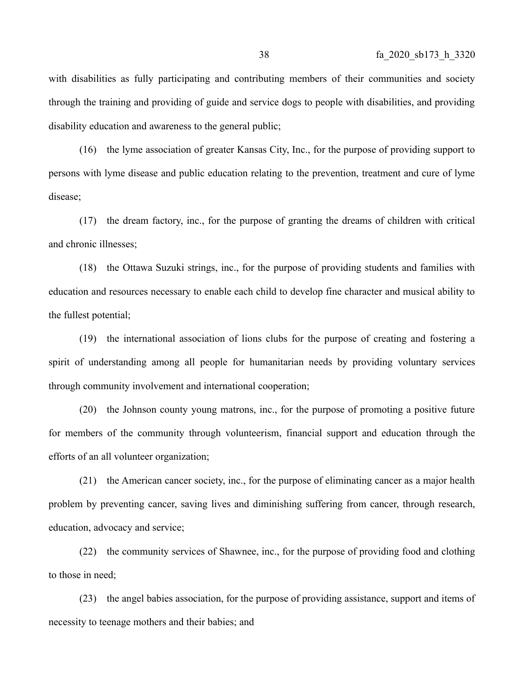with disabilities as fully participating and contributing members of their communities and society through the training and providing of guide and service dogs to people with disabilities, and providing disability education and awareness to the general public;

(16) the lyme association of greater Kansas City, Inc., for the purpose of providing support to persons with lyme disease and public education relating to the prevention, treatment and cure of lyme disease;

(17) the dream factory, inc., for the purpose of granting the dreams of children with critical and chronic illnesses;

(18) the Ottawa Suzuki strings, inc., for the purpose of providing students and families with education and resources necessary to enable each child to develop fine character and musical ability to the fullest potential;

(19) the international association of lions clubs for the purpose of creating and fostering a spirit of understanding among all people for humanitarian needs by providing voluntary services through community involvement and international cooperation;

(20) the Johnson county young matrons, inc., for the purpose of promoting a positive future for members of the community through volunteerism, financial support and education through the efforts of an all volunteer organization;

(21) the American cancer society, inc., for the purpose of eliminating cancer as a major health problem by preventing cancer, saving lives and diminishing suffering from cancer, through research, education, advocacy and service;

(22) the community services of Shawnee, inc., for the purpose of providing food and clothing to those in need;

(23) the angel babies association, for the purpose of providing assistance, support and items of necessity to teenage mothers and their babies; and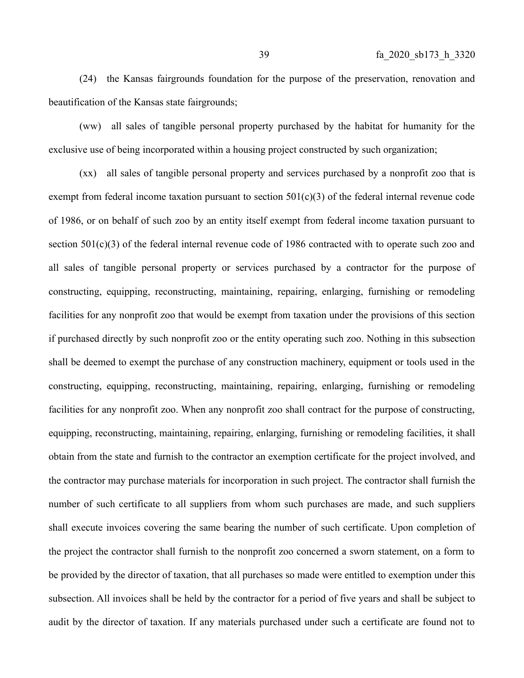(24) the Kansas fairgrounds foundation for the purpose of the preservation, renovation and beautification of the Kansas state fairgrounds;

(ww) all sales of tangible personal property purchased by the habitat for humanity for the exclusive use of being incorporated within a housing project constructed by such organization;

(xx) all sales of tangible personal property and services purchased by a nonprofit zoo that is exempt from federal income taxation pursuant to section  $501(c)(3)$  of the federal internal revenue code of 1986, or on behalf of such zoo by an entity itself exempt from federal income taxation pursuant to section 501(c)(3) of the federal internal revenue code of 1986 contracted with to operate such zoo and all sales of tangible personal property or services purchased by a contractor for the purpose of constructing, equipping, reconstructing, maintaining, repairing, enlarging, furnishing or remodeling facilities for any nonprofit zoo that would be exempt from taxation under the provisions of this section if purchased directly by such nonprofit zoo or the entity operating such zoo. Nothing in this subsection shall be deemed to exempt the purchase of any construction machinery, equipment or tools used in the constructing, equipping, reconstructing, maintaining, repairing, enlarging, furnishing or remodeling facilities for any nonprofit zoo. When any nonprofit zoo shall contract for the purpose of constructing, equipping, reconstructing, maintaining, repairing, enlarging, furnishing or remodeling facilities, it shall obtain from the state and furnish to the contractor an exemption certificate for the project involved, and the contractor may purchase materials for incorporation in such project. The contractor shall furnish the number of such certificate to all suppliers from whom such purchases are made, and such suppliers shall execute invoices covering the same bearing the number of such certificate. Upon completion of the project the contractor shall furnish to the nonprofit zoo concerned a sworn statement, on a form to be provided by the director of taxation, that all purchases so made were entitled to exemption under this subsection. All invoices shall be held by the contractor for a period of five years and shall be subject to audit by the director of taxation. If any materials purchased under such a certificate are found not to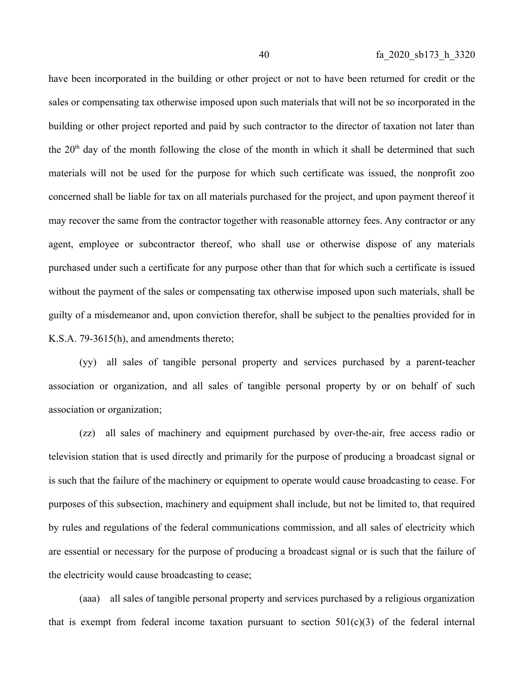have been incorporated in the building or other project or not to have been returned for credit or the sales or compensating tax otherwise imposed upon such materials that will not be so incorporated in the building or other project reported and paid by such contractor to the director of taxation not later than the  $20<sup>th</sup>$  day of the month following the close of the month in which it shall be determined that such materials will not be used for the purpose for which such certificate was issued, the nonprofit zoo concerned shall be liable for tax on all materials purchased for the project, and upon payment thereof it may recover the same from the contractor together with reasonable attorney fees. Any contractor or any agent, employee or subcontractor thereof, who shall use or otherwise dispose of any materials purchased under such a certificate for any purpose other than that for which such a certificate is issued without the payment of the sales or compensating tax otherwise imposed upon such materials, shall be guilty of a misdemeanor and, upon conviction therefor, shall be subject to the penalties provided for in K.S.A. 79-3615(h), and amendments thereto;

(yy) all sales of tangible personal property and services purchased by a parent-teacher association or organization, and all sales of tangible personal property by or on behalf of such association or organization;

(zz) all sales of machinery and equipment purchased by over-the-air, free access radio or television station that is used directly and primarily for the purpose of producing a broadcast signal or is such that the failure of the machinery or equipment to operate would cause broadcasting to cease. For purposes of this subsection, machinery and equipment shall include, but not be limited to, that required by rules and regulations of the federal communications commission, and all sales of electricity which are essential or necessary for the purpose of producing a broadcast signal or is such that the failure of the electricity would cause broadcasting to cease;

(aaa) all sales of tangible personal property and services purchased by a religious organization that is exempt from federal income taxation pursuant to section  $501(c)(3)$  of the federal internal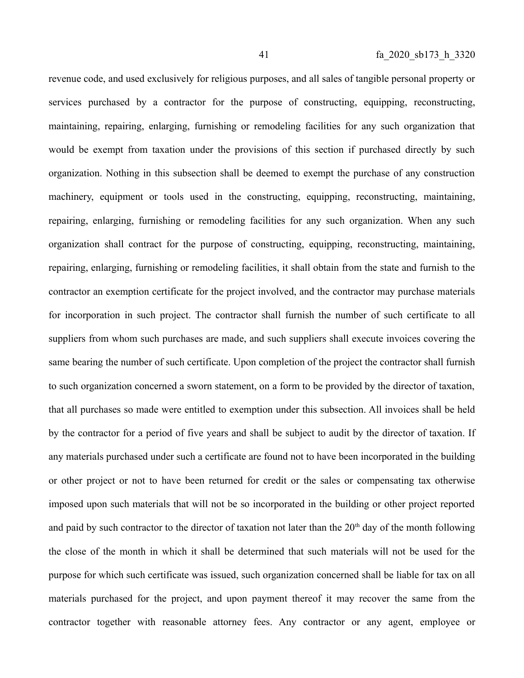revenue code, and used exclusively for religious purposes, and all sales of tangible personal property or services purchased by a contractor for the purpose of constructing, equipping, reconstructing, maintaining, repairing, enlarging, furnishing or remodeling facilities for any such organization that would be exempt from taxation under the provisions of this section if purchased directly by such organization. Nothing in this subsection shall be deemed to exempt the purchase of any construction machinery, equipment or tools used in the constructing, equipping, reconstructing, maintaining, repairing, enlarging, furnishing or remodeling facilities for any such organization. When any such organization shall contract for the purpose of constructing, equipping, reconstructing, maintaining, repairing, enlarging, furnishing or remodeling facilities, it shall obtain from the state and furnish to the contractor an exemption certificate for the project involved, and the contractor may purchase materials for incorporation in such project. The contractor shall furnish the number of such certificate to all suppliers from whom such purchases are made, and such suppliers shall execute invoices covering the same bearing the number of such certificate. Upon completion of the project the contractor shall furnish to such organization concerned a sworn statement, on a form to be provided by the director of taxation, that all purchases so made were entitled to exemption under this subsection. All invoices shall be held by the contractor for a period of five years and shall be subject to audit by the director of taxation. If any materials purchased under such a certificate are found not to have been incorporated in the building or other project or not to have been returned for credit or the sales or compensating tax otherwise imposed upon such materials that will not be so incorporated in the building or other project reported and paid by such contractor to the director of taxation not later than the  $20<sup>th</sup>$  day of the month following the close of the month in which it shall be determined that such materials will not be used for the purpose for which such certificate was issued, such organization concerned shall be liable for tax on all materials purchased for the project, and upon payment thereof it may recover the same from the contractor together with reasonable attorney fees. Any contractor or any agent, employee or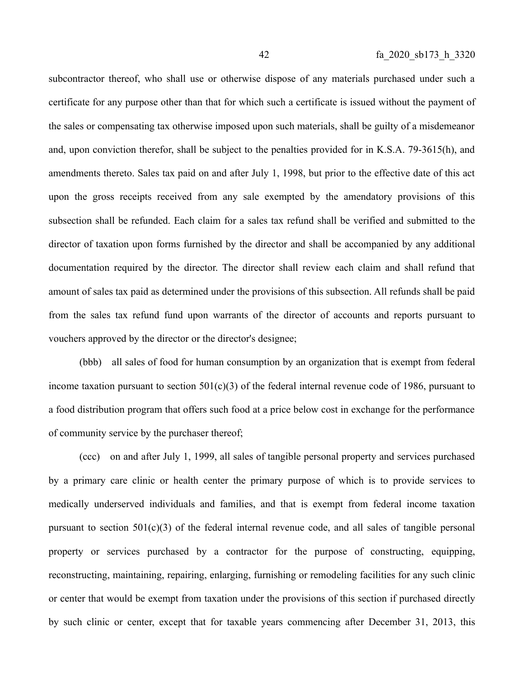subcontractor thereof, who shall use or otherwise dispose of any materials purchased under such a certificate for any purpose other than that for which such a certificate is issued without the payment of the sales or compensating tax otherwise imposed upon such materials, shall be guilty of a misdemeanor and, upon conviction therefor, shall be subject to the penalties provided for in K.S.A. 79-3615(h), and amendments thereto. Sales tax paid on and after July 1, 1998, but prior to the effective date of this act upon the gross receipts received from any sale exempted by the amendatory provisions of this subsection shall be refunded. Each claim for a sales tax refund shall be verified and submitted to the director of taxation upon forms furnished by the director and shall be accompanied by any additional documentation required by the director. The director shall review each claim and shall refund that amount of sales tax paid as determined under the provisions of this subsection. All refunds shall be paid from the sales tax refund fund upon warrants of the director of accounts and reports pursuant to vouchers approved by the director or the director's designee;

(bbb) all sales of food for human consumption by an organization that is exempt from federal income taxation pursuant to section  $501(c)(3)$  of the federal internal revenue code of 1986, pursuant to a food distribution program that offers such food at a price below cost in exchange for the performance of community service by the purchaser thereof;

(ccc) on and after July 1, 1999, all sales of tangible personal property and services purchased by a primary care clinic or health center the primary purpose of which is to provide services to medically underserved individuals and families, and that is exempt from federal income taxation pursuant to section 501(c)(3) of the federal internal revenue code, and all sales of tangible personal property or services purchased by a contractor for the purpose of constructing, equipping, reconstructing, maintaining, repairing, enlarging, furnishing or remodeling facilities for any such clinic or center that would be exempt from taxation under the provisions of this section if purchased directly by such clinic or center, except that for taxable years commencing after December 31, 2013, this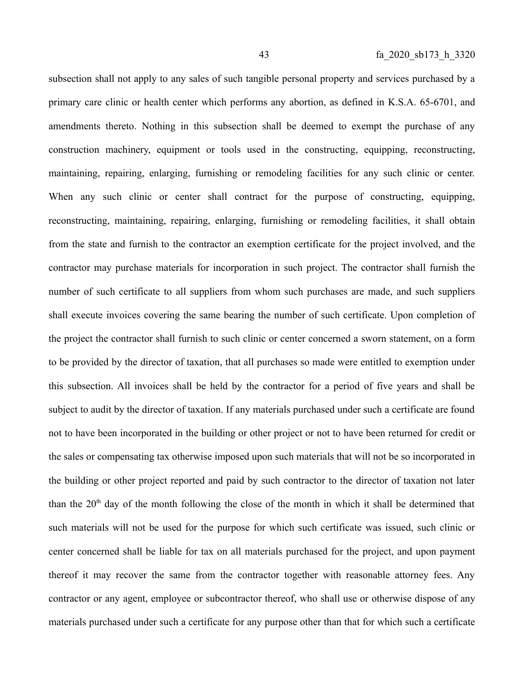subsection shall not apply to any sales of such tangible personal property and services purchased by a primary care clinic or health center which performs any abortion, as defined in K.S.A. 65-6701, and amendments thereto. Nothing in this subsection shall be deemed to exempt the purchase of any construction machinery, equipment or tools used in the constructing, equipping, reconstructing, maintaining, repairing, enlarging, furnishing or remodeling facilities for any such clinic or center. When any such clinic or center shall contract for the purpose of constructing, equipping, reconstructing, maintaining, repairing, enlarging, furnishing or remodeling facilities, it shall obtain from the state and furnish to the contractor an exemption certificate for the project involved, and the contractor may purchase materials for incorporation in such project. The contractor shall furnish the number of such certificate to all suppliers from whom such purchases are made, and such suppliers shall execute invoices covering the same bearing the number of such certificate. Upon completion of the project the contractor shall furnish to such clinic or center concerned a sworn statement, on a form to be provided by the director of taxation, that all purchases so made were entitled to exemption under this subsection. All invoices shall be held by the contractor for a period of five years and shall be subject to audit by the director of taxation. If any materials purchased under such a certificate are found not to have been incorporated in the building or other project or not to have been returned for credit or the sales or compensating tax otherwise imposed upon such materials that will not be so incorporated in the building or other project reported and paid by such contractor to the director of taxation not later than the  $20<sup>th</sup>$  day of the month following the close of the month in which it shall be determined that such materials will not be used for the purpose for which such certificate was issued, such clinic or center concerned shall be liable for tax on all materials purchased for the project, and upon payment thereof it may recover the same from the contractor together with reasonable attorney fees. Any contractor or any agent, employee or subcontractor thereof, who shall use or otherwise dispose of any materials purchased under such a certificate for any purpose other than that for which such a certificate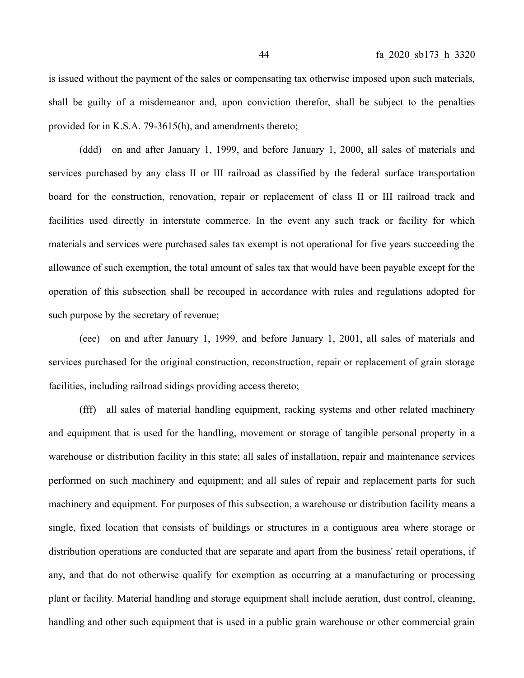is issued without the payment of the sales or compensating tax otherwise imposed upon such materials, shall be guilty of a misdemeanor and, upon conviction therefor, shall be subject to the penalties provided for in K.S.A. 79-3615(h), and amendments thereto;

(ddd) on and after January 1, 1999, and before January 1, 2000, all sales of materials and services purchased by any class II or III railroad as classified by the federal surface transportation board for the construction, renovation, repair or replacement of class II or III railroad track and facilities used directly in interstate commerce. In the event any such track or facility for which materials and services were purchased sales tax exempt is not operational for five years succeeding the allowance of such exemption, the total amount of sales tax that would have been payable except for the operation of this subsection shall be recouped in accordance with rules and regulations adopted for such purpose by the secretary of revenue;

(eee) on and after January 1, 1999, and before January 1, 2001, all sales of materials and services purchased for the original construction, reconstruction, repair or replacement of grain storage facilities, including railroad sidings providing access thereto;

(fff) all sales of material handling equipment, racking systems and other related machinery and equipment that is used for the handling, movement or storage of tangible personal property in a warehouse or distribution facility in this state; all sales of installation, repair and maintenance services performed on such machinery and equipment; and all sales of repair and replacement parts for such machinery and equipment. For purposes of this subsection, a warehouse or distribution facility means a single, fixed location that consists of buildings or structures in a contiguous area where storage or distribution operations are conducted that are separate and apart from the business' retail operations, if any, and that do not otherwise qualify for exemption as occurring at a manufacturing or processing plant or facility. Material handling and storage equipment shall include aeration, dust control, cleaning, handling and other such equipment that is used in a public grain warehouse or other commercial grain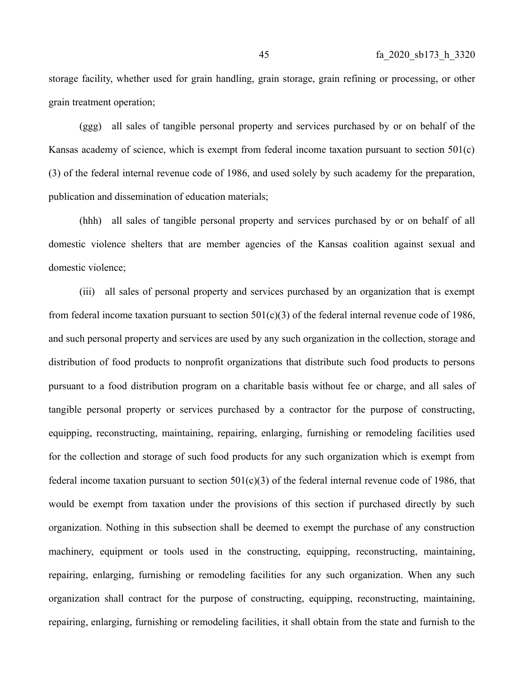storage facility, whether used for grain handling, grain storage, grain refining or processing, or other grain treatment operation;

(ggg) all sales of tangible personal property and services purchased by or on behalf of the Kansas academy of science, which is exempt from federal income taxation pursuant to section 501(c) (3) of the federal internal revenue code of 1986, and used solely by such academy for the preparation, publication and dissemination of education materials;

(hhh) all sales of tangible personal property and services purchased by or on behalf of all domestic violence shelters that are member agencies of the Kansas coalition against sexual and domestic violence;

(iii) all sales of personal property and services purchased by an organization that is exempt from federal income taxation pursuant to section  $501(c)(3)$  of the federal internal revenue code of 1986, and such personal property and services are used by any such organization in the collection, storage and distribution of food products to nonprofit organizations that distribute such food products to persons pursuant to a food distribution program on a charitable basis without fee or charge, and all sales of tangible personal property or services purchased by a contractor for the purpose of constructing, equipping, reconstructing, maintaining, repairing, enlarging, furnishing or remodeling facilities used for the collection and storage of such food products for any such organization which is exempt from federal income taxation pursuant to section  $501(c)(3)$  of the federal internal revenue code of 1986, that would be exempt from taxation under the provisions of this section if purchased directly by such organization. Nothing in this subsection shall be deemed to exempt the purchase of any construction machinery, equipment or tools used in the constructing, equipping, reconstructing, maintaining, repairing, enlarging, furnishing or remodeling facilities for any such organization. When any such organization shall contract for the purpose of constructing, equipping, reconstructing, maintaining, repairing, enlarging, furnishing or remodeling facilities, it shall obtain from the state and furnish to the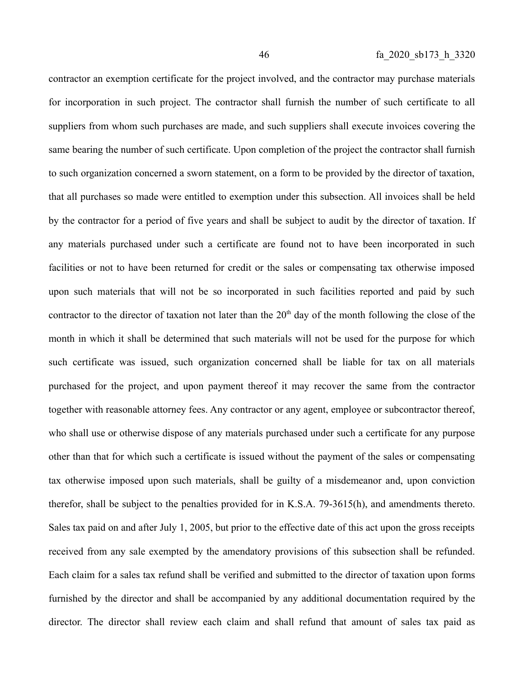contractor an exemption certificate for the project involved, and the contractor may purchase materials for incorporation in such project. The contractor shall furnish the number of such certificate to all suppliers from whom such purchases are made, and such suppliers shall execute invoices covering the same bearing the number of such certificate. Upon completion of the project the contractor shall furnish to such organization concerned a sworn statement, on a form to be provided by the director of taxation, that all purchases so made were entitled to exemption under this subsection. All invoices shall be held by the contractor for a period of five years and shall be subject to audit by the director of taxation. If any materials purchased under such a certificate are found not to have been incorporated in such facilities or not to have been returned for credit or the sales or compensating tax otherwise imposed upon such materials that will not be so incorporated in such facilities reported and paid by such contractor to the director of taxation not later than the  $20<sup>th</sup>$  day of the month following the close of the month in which it shall be determined that such materials will not be used for the purpose for which such certificate was issued, such organization concerned shall be liable for tax on all materials purchased for the project, and upon payment thereof it may recover the same from the contractor together with reasonable attorney fees. Any contractor or any agent, employee or subcontractor thereof, who shall use or otherwise dispose of any materials purchased under such a certificate for any purpose other than that for which such a certificate is issued without the payment of the sales or compensating tax otherwise imposed upon such materials, shall be guilty of a misdemeanor and, upon conviction therefor, shall be subject to the penalties provided for in K.S.A. 79-3615(h), and amendments thereto. Sales tax paid on and after July 1, 2005, but prior to the effective date of this act upon the gross receipts received from any sale exempted by the amendatory provisions of this subsection shall be refunded. Each claim for a sales tax refund shall be verified and submitted to the director of taxation upon forms furnished by the director and shall be accompanied by any additional documentation required by the director. The director shall review each claim and shall refund that amount of sales tax paid as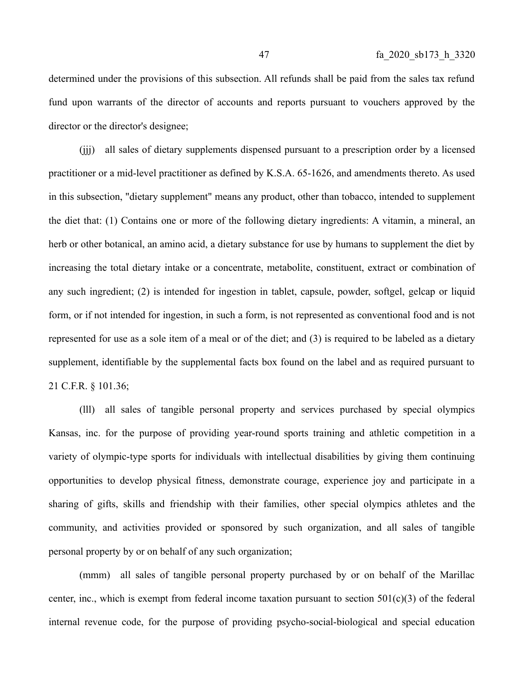determined under the provisions of this subsection. All refunds shall be paid from the sales tax refund fund upon warrants of the director of accounts and reports pursuant to vouchers approved by the director or the director's designee;

(jjj) all sales of dietary supplements dispensed pursuant to a prescription order by a licensed practitioner or a mid-level practitioner as defined by K.S.A. 65-1626, and amendments thereto. As used in this subsection, "dietary supplement" means any product, other than tobacco, intended to supplement the diet that: (1) Contains one or more of the following dietary ingredients: A vitamin, a mineral, an herb or other botanical, an amino acid, a dietary substance for use by humans to supplement the diet by increasing the total dietary intake or a concentrate, metabolite, constituent, extract or combination of any such ingredient; (2) is intended for ingestion in tablet, capsule, powder, softgel, gelcap or liquid form, or if not intended for ingestion, in such a form, is not represented as conventional food and is not represented for use as a sole item of a meal or of the diet; and (3) is required to be labeled as a dietary supplement, identifiable by the supplemental facts box found on the label and as required pursuant to 21 C.F.R. § 101.36;

(lll) all sales of tangible personal property and services purchased by special olympics Kansas, inc. for the purpose of providing year-round sports training and athletic competition in a variety of olympic-type sports for individuals with intellectual disabilities by giving them continuing opportunities to develop physical fitness, demonstrate courage, experience joy and participate in a sharing of gifts, skills and friendship with their families, other special olympics athletes and the community, and activities provided or sponsored by such organization, and all sales of tangible personal property by or on behalf of any such organization;

(mmm) all sales of tangible personal property purchased by or on behalf of the Marillac center, inc., which is exempt from federal income taxation pursuant to section 501(c)(3) of the federal internal revenue code, for the purpose of providing psycho-social-biological and special education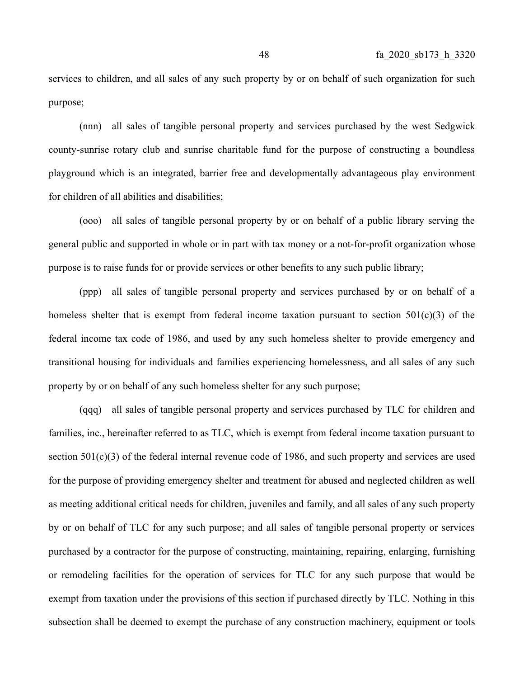services to children, and all sales of any such property by or on behalf of such organization for such purpose;

(nnn) all sales of tangible personal property and services purchased by the west Sedgwick county-sunrise rotary club and sunrise charitable fund for the purpose of constructing a boundless playground which is an integrated, barrier free and developmentally advantageous play environment for children of all abilities and disabilities;

(ooo) all sales of tangible personal property by or on behalf of a public library serving the general public and supported in whole or in part with tax money or a not-for-profit organization whose purpose is to raise funds for or provide services or other benefits to any such public library;

(ppp) all sales of tangible personal property and services purchased by or on behalf of a homeless shelter that is exempt from federal income taxation pursuant to section 501(c)(3) of the federal income tax code of 1986, and used by any such homeless shelter to provide emergency and transitional housing for individuals and families experiencing homelessness, and all sales of any such property by or on behalf of any such homeless shelter for any such purpose;

(qqq) all sales of tangible personal property and services purchased by TLC for children and families, inc., hereinafter referred to as TLC, which is exempt from federal income taxation pursuant to section 501(c)(3) of the federal internal revenue code of 1986, and such property and services are used for the purpose of providing emergency shelter and treatment for abused and neglected children as well as meeting additional critical needs for children, juveniles and family, and all sales of any such property by or on behalf of TLC for any such purpose; and all sales of tangible personal property or services purchased by a contractor for the purpose of constructing, maintaining, repairing, enlarging, furnishing or remodeling facilities for the operation of services for TLC for any such purpose that would be exempt from taxation under the provisions of this section if purchased directly by TLC. Nothing in this subsection shall be deemed to exempt the purchase of any construction machinery, equipment or tools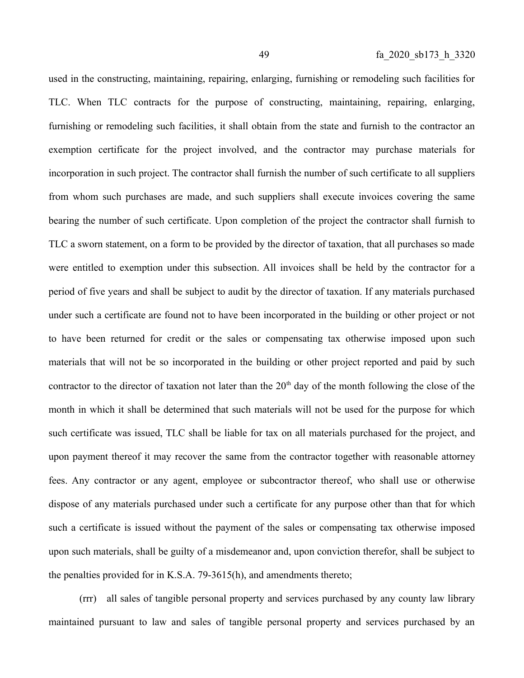used in the constructing, maintaining, repairing, enlarging, furnishing or remodeling such facilities for TLC. When TLC contracts for the purpose of constructing, maintaining, repairing, enlarging, furnishing or remodeling such facilities, it shall obtain from the state and furnish to the contractor an exemption certificate for the project involved, and the contractor may purchase materials for incorporation in such project. The contractor shall furnish the number of such certificate to all suppliers from whom such purchases are made, and such suppliers shall execute invoices covering the same bearing the number of such certificate. Upon completion of the project the contractor shall furnish to TLC a sworn statement, on a form to be provided by the director of taxation, that all purchases so made were entitled to exemption under this subsection. All invoices shall be held by the contractor for a period of five years and shall be subject to audit by the director of taxation. If any materials purchased under such a certificate are found not to have been incorporated in the building or other project or not to have been returned for credit or the sales or compensating tax otherwise imposed upon such materials that will not be so incorporated in the building or other project reported and paid by such contractor to the director of taxation not later than the  $20<sup>th</sup>$  day of the month following the close of the month in which it shall be determined that such materials will not be used for the purpose for which such certificate was issued, TLC shall be liable for tax on all materials purchased for the project, and upon payment thereof it may recover the same from the contractor together with reasonable attorney fees. Any contractor or any agent, employee or subcontractor thereof, who shall use or otherwise dispose of any materials purchased under such a certificate for any purpose other than that for which such a certificate is issued without the payment of the sales or compensating tax otherwise imposed upon such materials, shall be guilty of a misdemeanor and, upon conviction therefor, shall be subject to the penalties provided for in K.S.A. 79-3615(h), and amendments thereto;

(rrr) all sales of tangible personal property and services purchased by any county law library maintained pursuant to law and sales of tangible personal property and services purchased by an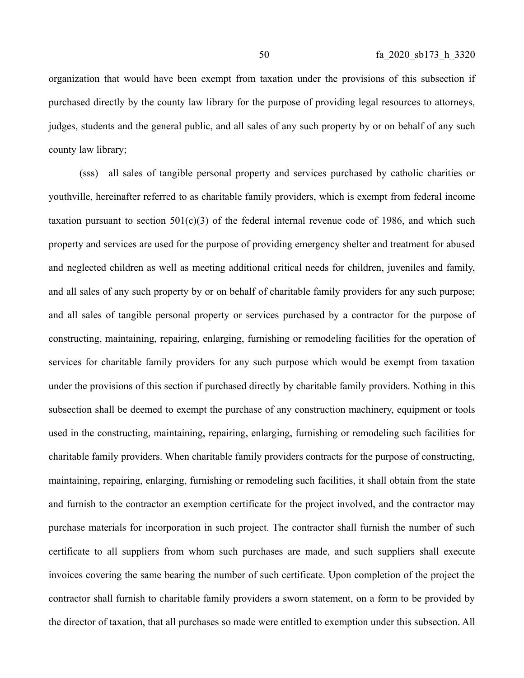organization that would have been exempt from taxation under the provisions of this subsection if purchased directly by the county law library for the purpose of providing legal resources to attorneys, judges, students and the general public, and all sales of any such property by or on behalf of any such county law library;

(sss) all sales of tangible personal property and services purchased by catholic charities or youthville, hereinafter referred to as charitable family providers, which is exempt from federal income taxation pursuant to section  $501(c)(3)$  of the federal internal revenue code of 1986, and which such property and services are used for the purpose of providing emergency shelter and treatment for abused and neglected children as well as meeting additional critical needs for children, juveniles and family, and all sales of any such property by or on behalf of charitable family providers for any such purpose; and all sales of tangible personal property or services purchased by a contractor for the purpose of constructing, maintaining, repairing, enlarging, furnishing or remodeling facilities for the operation of services for charitable family providers for any such purpose which would be exempt from taxation under the provisions of this section if purchased directly by charitable family providers. Nothing in this subsection shall be deemed to exempt the purchase of any construction machinery, equipment or tools used in the constructing, maintaining, repairing, enlarging, furnishing or remodeling such facilities for charitable family providers. When charitable family providers contracts for the purpose of constructing, maintaining, repairing, enlarging, furnishing or remodeling such facilities, it shall obtain from the state and furnish to the contractor an exemption certificate for the project involved, and the contractor may purchase materials for incorporation in such project. The contractor shall furnish the number of such certificate to all suppliers from whom such purchases are made, and such suppliers shall execute invoices covering the same bearing the number of such certificate. Upon completion of the project the contractor shall furnish to charitable family providers a sworn statement, on a form to be provided by the director of taxation, that all purchases so made were entitled to exemption under this subsection. All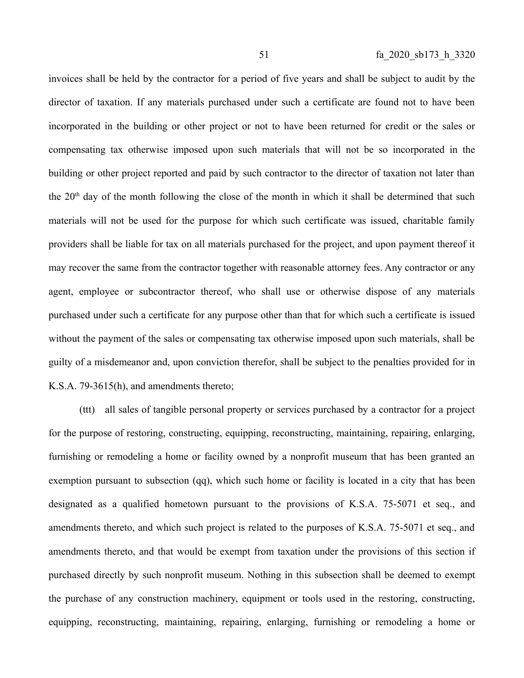invoices shall be held by the contractor for a period of five years and shall be subject to audit by the director of taxation. If any materials purchased under such a certificate are found not to have been incorporated in the building or other project or not to have been returned for credit or the sales or compensating tax otherwise imposed upon such materials that will not be so incorporated in the building or other project reported and paid by such contractor to the director of taxation not later than the  $20<sup>th</sup>$  day of the month following the close of the month in which it shall be determined that such materials will not be used for the purpose for which such certificate was issued, charitable family providers shall be liable for tax on all materials purchased for the project, and upon payment thereof it may recover the same from the contractor together with reasonable attorney fees. Any contractor or any agent, employee or subcontractor thereof, who shall use or otherwise dispose of any materials purchased under such a certificate for any purpose other than that for which such a certificate is issued without the payment of the sales or compensating tax otherwise imposed upon such materials, shall be guilty of a misdemeanor and, upon conviction therefor, shall be subject to the penalties provided for in K.S.A. 79-3615(h), and amendments thereto;

(ttt) all sales of tangible personal property or services purchased by a contractor for a project for the purpose of restoring, constructing, equipping, reconstructing, maintaining, repairing, enlarging, furnishing or remodeling a home or facility owned by a nonprofit museum that has been granted an exemption pursuant to subsection (qq), which such home or facility is located in a city that has been designated as a qualified hometown pursuant to the provisions of K.S.A. 75-5071 et seq., and amendments thereto, and which such project is related to the purposes of K.S.A. 75-5071 et seq., and amendments thereto, and that would be exempt from taxation under the provisions of this section if purchased directly by such nonprofit museum. Nothing in this subsection shall be deemed to exempt the purchase of any construction machinery, equipment or tools used in the restoring, constructing, equipping, reconstructing, maintaining, repairing, enlarging, furnishing or remodeling a home or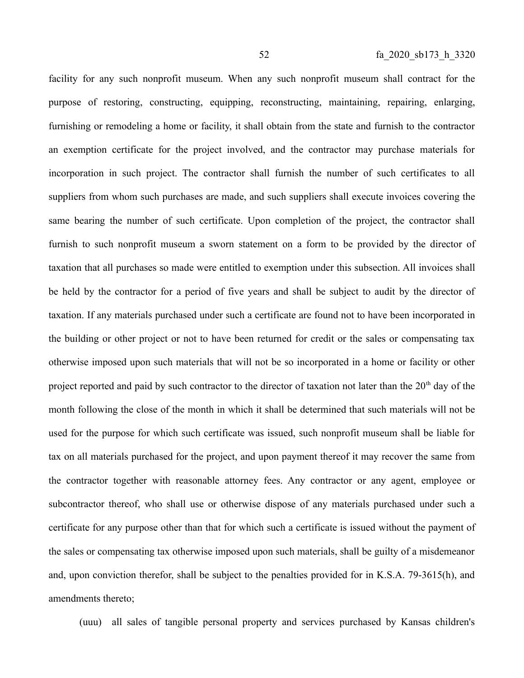facility for any such nonprofit museum. When any such nonprofit museum shall contract for the purpose of restoring, constructing, equipping, reconstructing, maintaining, repairing, enlarging, furnishing or remodeling a home or facility, it shall obtain from the state and furnish to the contractor an exemption certificate for the project involved, and the contractor may purchase materials for incorporation in such project. The contractor shall furnish the number of such certificates to all suppliers from whom such purchases are made, and such suppliers shall execute invoices covering the same bearing the number of such certificate. Upon completion of the project, the contractor shall furnish to such nonprofit museum a sworn statement on a form to be provided by the director of taxation that all purchases so made were entitled to exemption under this subsection. All invoices shall be held by the contractor for a period of five years and shall be subject to audit by the director of taxation. If any materials purchased under such a certificate are found not to have been incorporated in the building or other project or not to have been returned for credit or the sales or compensating tax otherwise imposed upon such materials that will not be so incorporated in a home or facility or other project reported and paid by such contractor to the director of taxation not later than the  $20<sup>th</sup>$  day of the month following the close of the month in which it shall be determined that such materials will not be used for the purpose for which such certificate was issued, such nonprofit museum shall be liable for tax on all materials purchased for the project, and upon payment thereof it may recover the same from the contractor together with reasonable attorney fees. Any contractor or any agent, employee or subcontractor thereof, who shall use or otherwise dispose of any materials purchased under such a certificate for any purpose other than that for which such a certificate is issued without the payment of the sales or compensating tax otherwise imposed upon such materials, shall be guilty of a misdemeanor and, upon conviction therefor, shall be subject to the penalties provided for in K.S.A. 79-3615(h), and amendments thereto;

(uuu) all sales of tangible personal property and services purchased by Kansas children's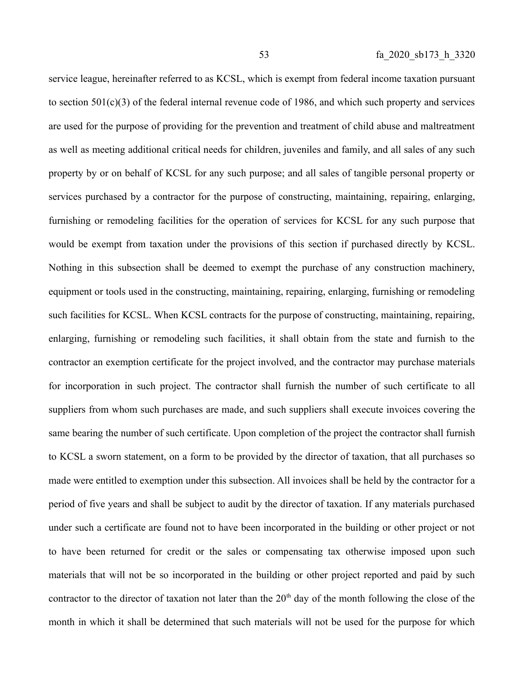service league, hereinafter referred to as KCSL, which is exempt from federal income taxation pursuant to section  $501(c)(3)$  of the federal internal revenue code of 1986, and which such property and services are used for the purpose of providing for the prevention and treatment of child abuse and maltreatment as well as meeting additional critical needs for children, juveniles and family, and all sales of any such property by or on behalf of KCSL for any such purpose; and all sales of tangible personal property or services purchased by a contractor for the purpose of constructing, maintaining, repairing, enlarging, furnishing or remodeling facilities for the operation of services for KCSL for any such purpose that would be exempt from taxation under the provisions of this section if purchased directly by KCSL. Nothing in this subsection shall be deemed to exempt the purchase of any construction machinery, equipment or tools used in the constructing, maintaining, repairing, enlarging, furnishing or remodeling such facilities for KCSL. When KCSL contracts for the purpose of constructing, maintaining, repairing, enlarging, furnishing or remodeling such facilities, it shall obtain from the state and furnish to the contractor an exemption certificate for the project involved, and the contractor may purchase materials for incorporation in such project. The contractor shall furnish the number of such certificate to all suppliers from whom such purchases are made, and such suppliers shall execute invoices covering the same bearing the number of such certificate. Upon completion of the project the contractor shall furnish to KCSL a sworn statement, on a form to be provided by the director of taxation, that all purchases so made were entitled to exemption under this subsection. All invoices shall be held by the contractor for a period of five years and shall be subject to audit by the director of taxation. If any materials purchased under such a certificate are found not to have been incorporated in the building or other project or not to have been returned for credit or the sales or compensating tax otherwise imposed upon such materials that will not be so incorporated in the building or other project reported and paid by such contractor to the director of taxation not later than the  $20<sup>th</sup>$  day of the month following the close of the month in which it shall be determined that such materials will not be used for the purpose for which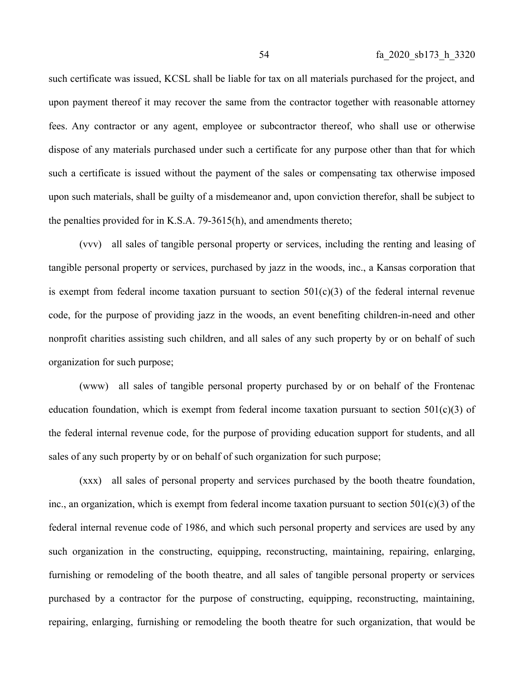such certificate was issued, KCSL shall be liable for tax on all materials purchased for the project, and upon payment thereof it may recover the same from the contractor together with reasonable attorney fees. Any contractor or any agent, employee or subcontractor thereof, who shall use or otherwise dispose of any materials purchased under such a certificate for any purpose other than that for which such a certificate is issued without the payment of the sales or compensating tax otherwise imposed upon such materials, shall be guilty of a misdemeanor and, upon conviction therefor, shall be subject to the penalties provided for in K.S.A. 79-3615(h), and amendments thereto;

(vvv) all sales of tangible personal property or services, including the renting and leasing of tangible personal property or services, purchased by jazz in the woods, inc., a Kansas corporation that is exempt from federal income taxation pursuant to section  $501(c)(3)$  of the federal internal revenue code, for the purpose of providing jazz in the woods, an event benefiting children-in-need and other nonprofit charities assisting such children, and all sales of any such property by or on behalf of such organization for such purpose;

(www) all sales of tangible personal property purchased by or on behalf of the Frontenac education foundation, which is exempt from federal income taxation pursuant to section  $501(c)(3)$  of the federal internal revenue code, for the purpose of providing education support for students, and all sales of any such property by or on behalf of such organization for such purpose;

(xxx) all sales of personal property and services purchased by the booth theatre foundation, inc., an organization, which is exempt from federal income taxation pursuant to section  $501(c)(3)$  of the federal internal revenue code of 1986, and which such personal property and services are used by any such organization in the constructing, equipping, reconstructing, maintaining, repairing, enlarging, furnishing or remodeling of the booth theatre, and all sales of tangible personal property or services purchased by a contractor for the purpose of constructing, equipping, reconstructing, maintaining, repairing, enlarging, furnishing or remodeling the booth theatre for such organization, that would be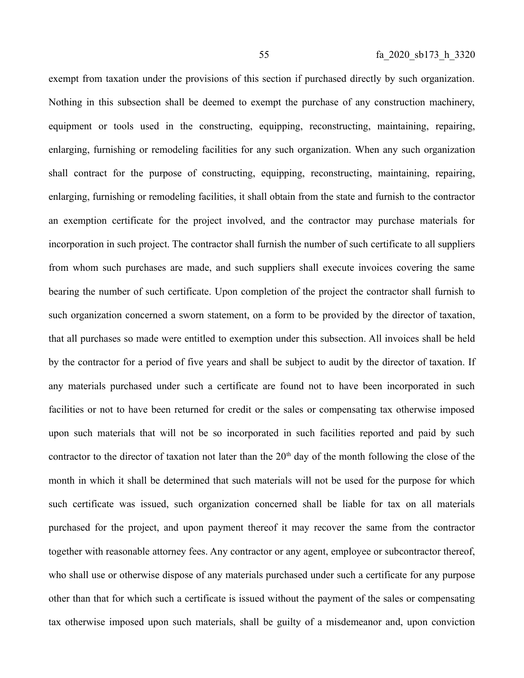exempt from taxation under the provisions of this section if purchased directly by such organization. Nothing in this subsection shall be deemed to exempt the purchase of any construction machinery, equipment or tools used in the constructing, equipping, reconstructing, maintaining, repairing, enlarging, furnishing or remodeling facilities for any such organization. When any such organization shall contract for the purpose of constructing, equipping, reconstructing, maintaining, repairing, enlarging, furnishing or remodeling facilities, it shall obtain from the state and furnish to the contractor an exemption certificate for the project involved, and the contractor may purchase materials for incorporation in such project. The contractor shall furnish the number of such certificate to all suppliers from whom such purchases are made, and such suppliers shall execute invoices covering the same bearing the number of such certificate. Upon completion of the project the contractor shall furnish to such organization concerned a sworn statement, on a form to be provided by the director of taxation, that all purchases so made were entitled to exemption under this subsection. All invoices shall be held by the contractor for a period of five years and shall be subject to audit by the director of taxation. If any materials purchased under such a certificate are found not to have been incorporated in such facilities or not to have been returned for credit or the sales or compensating tax otherwise imposed upon such materials that will not be so incorporated in such facilities reported and paid by such contractor to the director of taxation not later than the 20<sup>th</sup> day of the month following the close of the month in which it shall be determined that such materials will not be used for the purpose for which such certificate was issued, such organization concerned shall be liable for tax on all materials purchased for the project, and upon payment thereof it may recover the same from the contractor together with reasonable attorney fees. Any contractor or any agent, employee or subcontractor thereof, who shall use or otherwise dispose of any materials purchased under such a certificate for any purpose other than that for which such a certificate is issued without the payment of the sales or compensating tax otherwise imposed upon such materials, shall be guilty of a misdemeanor and, upon conviction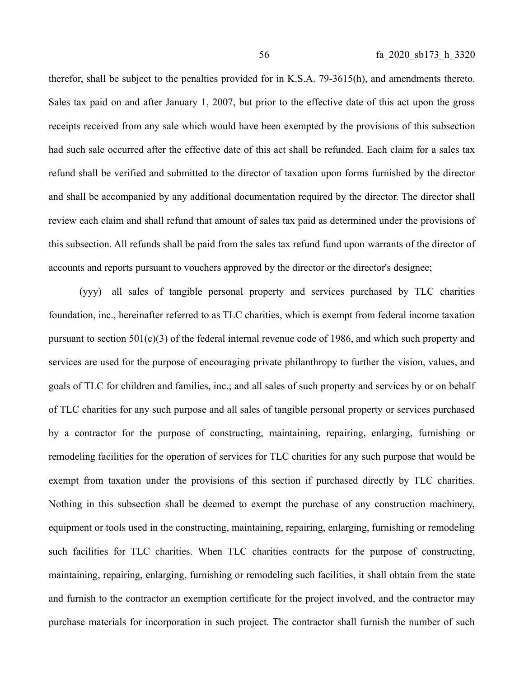therefor, shall be subject to the penalties provided for in K.S.A. 79-3615(h), and amendments thereto. Sales tax paid on and after January 1, 2007, but prior to the effective date of this act upon the gross receipts received from any sale which would have been exempted by the provisions of this subsection had such sale occurred after the effective date of this act shall be refunded. Each claim for a sales tax refund shall be verified and submitted to the director of taxation upon forms furnished by the director and shall be accompanied by any additional documentation required by the director. The director shall review each claim and shall refund that amount of sales tax paid as determined under the provisions of this subsection. All refunds shall be paid from the sales tax refund fund upon warrants of the director of accounts and reports pursuant to vouchers approved by the director or the director's designee;

(yyy) all sales of tangible personal property and services purchased by TLC charities foundation, inc., hereinafter referred to as TLC charities, which is exempt from federal income taxation pursuant to section  $501(c)(3)$  of the federal internal revenue code of 1986, and which such property and services are used for the purpose of encouraging private philanthropy to further the vision, values, and goals of TLC for children and families, inc.; and all sales of such property and services by or on behalf of TLC charities for any such purpose and all sales of tangible personal property or services purchased by a contractor for the purpose of constructing, maintaining, repairing, enlarging, furnishing or remodeling facilities for the operation of services for TLC charities for any such purpose that would be exempt from taxation under the provisions of this section if purchased directly by TLC charities. Nothing in this subsection shall be deemed to exempt the purchase of any construction machinery, equipment or tools used in the constructing, maintaining, repairing, enlarging, furnishing or remodeling such facilities for TLC charities. When TLC charities contracts for the purpose of constructing, maintaining, repairing, enlarging, furnishing or remodeling such facilities, it shall obtain from the state and furnish to the contractor an exemption certificate for the project involved, and the contractor may purchase materials for incorporation in such project. The contractor shall furnish the number of such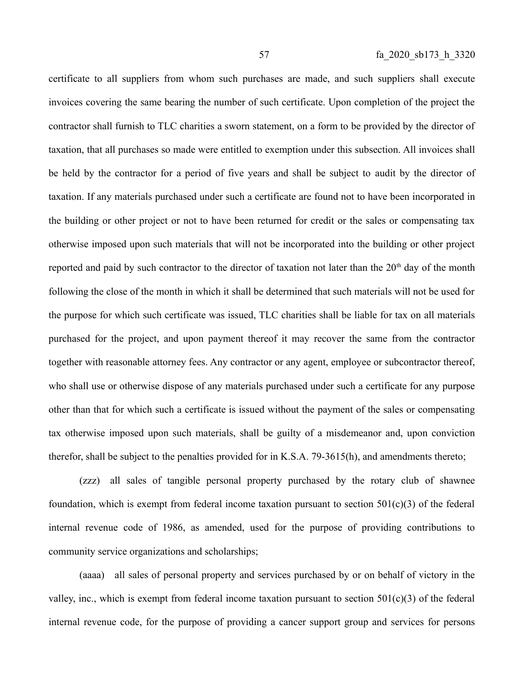certificate to all suppliers from whom such purchases are made, and such suppliers shall execute invoices covering the same bearing the number of such certificate. Upon completion of the project the contractor shall furnish to TLC charities a sworn statement, on a form to be provided by the director of taxation, that all purchases so made were entitled to exemption under this subsection. All invoices shall be held by the contractor for a period of five years and shall be subject to audit by the director of taxation. If any materials purchased under such a certificate are found not to have been incorporated in the building or other project or not to have been returned for credit or the sales or compensating tax otherwise imposed upon such materials that will not be incorporated into the building or other project reported and paid by such contractor to the director of taxation not later than the  $20<sup>th</sup>$  day of the month following the close of the month in which it shall be determined that such materials will not be used for the purpose for which such certificate was issued, TLC charities shall be liable for tax on all materials purchased for the project, and upon payment thereof it may recover the same from the contractor together with reasonable attorney fees. Any contractor or any agent, employee or subcontractor thereof, who shall use or otherwise dispose of any materials purchased under such a certificate for any purpose other than that for which such a certificate is issued without the payment of the sales or compensating tax otherwise imposed upon such materials, shall be guilty of a misdemeanor and, upon conviction therefor, shall be subject to the penalties provided for in K.S.A. 79-3615(h), and amendments thereto;

(zzz) all sales of tangible personal property purchased by the rotary club of shawnee foundation, which is exempt from federal income taxation pursuant to section  $501(c)(3)$  of the federal internal revenue code of 1986, as amended, used for the purpose of providing contributions to community service organizations and scholarships;

(aaaa) all sales of personal property and services purchased by or on behalf of victory in the valley, inc., which is exempt from federal income taxation pursuant to section  $501(c)(3)$  of the federal internal revenue code, for the purpose of providing a cancer support group and services for persons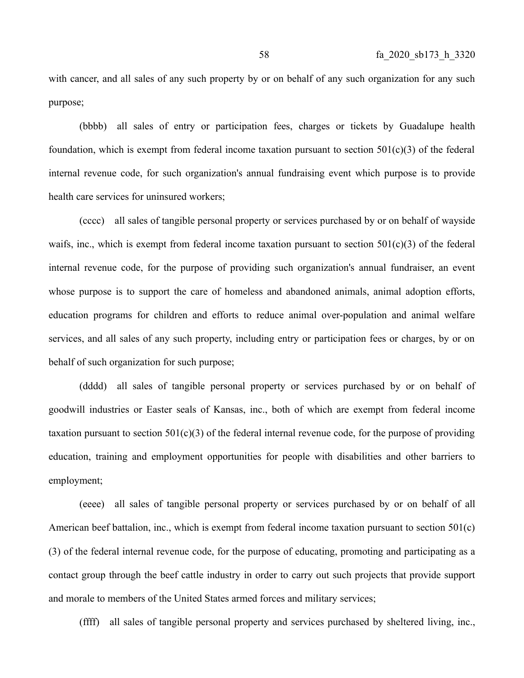with cancer, and all sales of any such property by or on behalf of any such organization for any such purpose;

(bbbb) all sales of entry or participation fees, charges or tickets by Guadalupe health foundation, which is exempt from federal income taxation pursuant to section  $501(c)(3)$  of the federal internal revenue code, for such organization's annual fundraising event which purpose is to provide health care services for uninsured workers;

(cccc) all sales of tangible personal property or services purchased by or on behalf of wayside waifs, inc., which is exempt from federal income taxation pursuant to section  $501(c)(3)$  of the federal internal revenue code, for the purpose of providing such organization's annual fundraiser, an event whose purpose is to support the care of homeless and abandoned animals, animal adoption efforts, education programs for children and efforts to reduce animal over-population and animal welfare services, and all sales of any such property, including entry or participation fees or charges, by or on behalf of such organization for such purpose;

(dddd) all sales of tangible personal property or services purchased by or on behalf of goodwill industries or Easter seals of Kansas, inc., both of which are exempt from federal income taxation pursuant to section  $501(c)(3)$  of the federal internal revenue code, for the purpose of providing education, training and employment opportunities for people with disabilities and other barriers to employment;

(eeee) all sales of tangible personal property or services purchased by or on behalf of all American beef battalion, inc., which is exempt from federal income taxation pursuant to section 501(c) (3) of the federal internal revenue code, for the purpose of educating, promoting and participating as a contact group through the beef cattle industry in order to carry out such projects that provide support and morale to members of the United States armed forces and military services;

(ffff) all sales of tangible personal property and services purchased by sheltered living, inc.,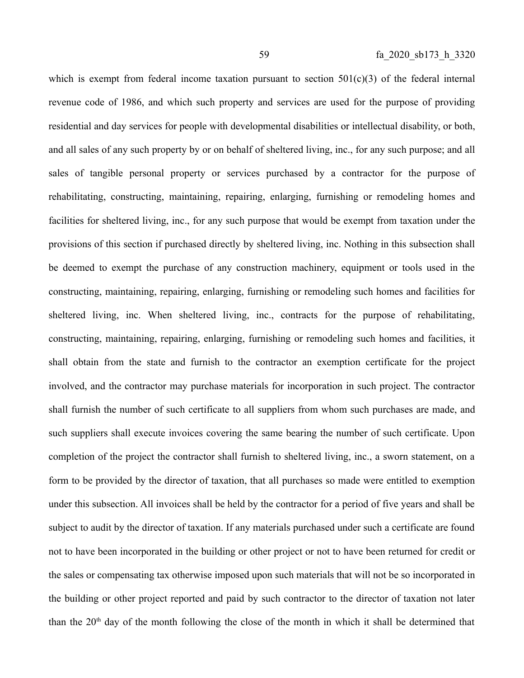which is exempt from federal income taxation pursuant to section  $501(c)(3)$  of the federal internal revenue code of 1986, and which such property and services are used for the purpose of providing residential and day services for people with developmental disabilities or intellectual disability, or both, and all sales of any such property by or on behalf of sheltered living, inc., for any such purpose; and all sales of tangible personal property or services purchased by a contractor for the purpose of rehabilitating, constructing, maintaining, repairing, enlarging, furnishing or remodeling homes and facilities for sheltered living, inc., for any such purpose that would be exempt from taxation under the provisions of this section if purchased directly by sheltered living, inc. Nothing in this subsection shall be deemed to exempt the purchase of any construction machinery, equipment or tools used in the constructing, maintaining, repairing, enlarging, furnishing or remodeling such homes and facilities for sheltered living, inc. When sheltered living, inc., contracts for the purpose of rehabilitating, constructing, maintaining, repairing, enlarging, furnishing or remodeling such homes and facilities, it shall obtain from the state and furnish to the contractor an exemption certificate for the project involved, and the contractor may purchase materials for incorporation in such project. The contractor shall furnish the number of such certificate to all suppliers from whom such purchases are made, and such suppliers shall execute invoices covering the same bearing the number of such certificate. Upon completion of the project the contractor shall furnish to sheltered living, inc., a sworn statement, on a form to be provided by the director of taxation, that all purchases so made were entitled to exemption under this subsection. All invoices shall be held by the contractor for a period of five years and shall be subject to audit by the director of taxation. If any materials purchased under such a certificate are found not to have been incorporated in the building or other project or not to have been returned for credit or the sales or compensating tax otherwise imposed upon such materials that will not be so incorporated in the building or other project reported and paid by such contractor to the director of taxation not later than the  $20<sup>th</sup>$  day of the month following the close of the month in which it shall be determined that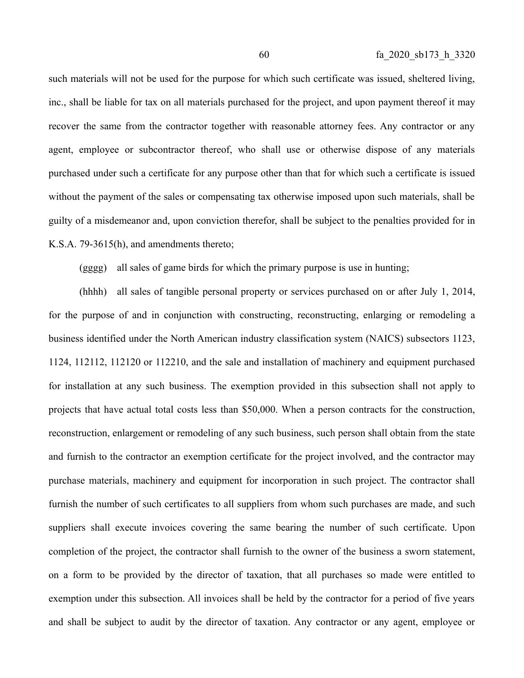such materials will not be used for the purpose for which such certificate was issued, sheltered living, inc., shall be liable for tax on all materials purchased for the project, and upon payment thereof it may recover the same from the contractor together with reasonable attorney fees. Any contractor or any agent, employee or subcontractor thereof, who shall use or otherwise dispose of any materials purchased under such a certificate for any purpose other than that for which such a certificate is issued without the payment of the sales or compensating tax otherwise imposed upon such materials, shall be guilty of a misdemeanor and, upon conviction therefor, shall be subject to the penalties provided for in K.S.A. 79-3615(h), and amendments thereto;

(gggg) all sales of game birds for which the primary purpose is use in hunting;

(hhhh) all sales of tangible personal property or services purchased on or after July 1, 2014, for the purpose of and in conjunction with constructing, reconstructing, enlarging or remodeling a business identified under the North American industry classification system (NAICS) subsectors 1123, 1124, 112112, 112120 or 112210, and the sale and installation of machinery and equipment purchased for installation at any such business. The exemption provided in this subsection shall not apply to projects that have actual total costs less than \$50,000. When a person contracts for the construction, reconstruction, enlargement or remodeling of any such business, such person shall obtain from the state and furnish to the contractor an exemption certificate for the project involved, and the contractor may purchase materials, machinery and equipment for incorporation in such project. The contractor shall furnish the number of such certificates to all suppliers from whom such purchases are made, and such suppliers shall execute invoices covering the same bearing the number of such certificate. Upon completion of the project, the contractor shall furnish to the owner of the business a sworn statement, on a form to be provided by the director of taxation, that all purchases so made were entitled to exemption under this subsection. All invoices shall be held by the contractor for a period of five years and shall be subject to audit by the director of taxation. Any contractor or any agent, employee or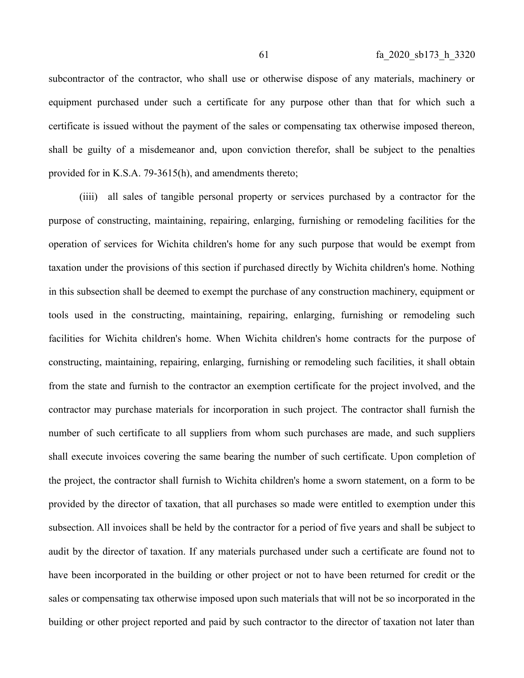subcontractor of the contractor, who shall use or otherwise dispose of any materials, machinery or equipment purchased under such a certificate for any purpose other than that for which such a certificate is issued without the payment of the sales or compensating tax otherwise imposed thereon, shall be guilty of a misdemeanor and, upon conviction therefor, shall be subject to the penalties provided for in K.S.A. 79-3615(h), and amendments thereto;

(iiii) all sales of tangible personal property or services purchased by a contractor for the purpose of constructing, maintaining, repairing, enlarging, furnishing or remodeling facilities for the operation of services for Wichita children's home for any such purpose that would be exempt from taxation under the provisions of this section if purchased directly by Wichita children's home. Nothing in this subsection shall be deemed to exempt the purchase of any construction machinery, equipment or tools used in the constructing, maintaining, repairing, enlarging, furnishing or remodeling such facilities for Wichita children's home. When Wichita children's home contracts for the purpose of constructing, maintaining, repairing, enlarging, furnishing or remodeling such facilities, it shall obtain from the state and furnish to the contractor an exemption certificate for the project involved, and the contractor may purchase materials for incorporation in such project. The contractor shall furnish the number of such certificate to all suppliers from whom such purchases are made, and such suppliers shall execute invoices covering the same bearing the number of such certificate. Upon completion of the project, the contractor shall furnish to Wichita children's home a sworn statement, on a form to be provided by the director of taxation, that all purchases so made were entitled to exemption under this subsection. All invoices shall be held by the contractor for a period of five years and shall be subject to audit by the director of taxation. If any materials purchased under such a certificate are found not to have been incorporated in the building or other project or not to have been returned for credit or the sales or compensating tax otherwise imposed upon such materials that will not be so incorporated in the building or other project reported and paid by such contractor to the director of taxation not later than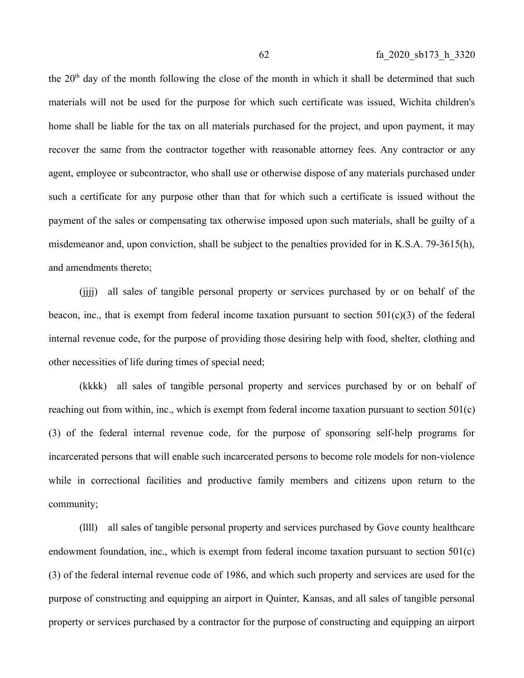the  $20<sup>th</sup>$  day of the month following the close of the month in which it shall be determined that such materials will not be used for the purpose for which such certificate was issued, Wichita children's home shall be liable for the tax on all materials purchased for the project, and upon payment, it may recover the same from the contractor together with reasonable attorney fees. Any contractor or any agent, employee or subcontractor, who shall use or otherwise dispose of any materials purchased under such a certificate for any purpose other than that for which such a certificate is issued without the payment of the sales or compensating tax otherwise imposed upon such materials, shall be guilty of a misdemeanor and, upon conviction, shall be subject to the penalties provided for in K.S.A. 79-3615(h), and amendments thereto;

(jjjj) all sales of tangible personal property or services purchased by or on behalf of the beacon, inc., that is exempt from federal income taxation pursuant to section  $501(c)(3)$  of the federal internal revenue code, for the purpose of providing those desiring help with food, shelter, clothing and other necessities of life during times of special need;

(kkkk) all sales of tangible personal property and services purchased by or on behalf of reaching out from within, inc., which is exempt from federal income taxation pursuant to section 501(c) (3) of the federal internal revenue code, for the purpose of sponsoring self-help programs for incarcerated persons that will enable such incarcerated persons to become role models for non-violence while in correctional facilities and productive family members and citizens upon return to the community;

(llll) all sales of tangible personal property and services purchased by Gove county healthcare endowment foundation, inc., which is exempt from federal income taxation pursuant to section 501(c) (3) of the federal internal revenue code of 1986, and which such property and services are used for the purpose of constructing and equipping an airport in Quinter, Kansas, and all sales of tangible personal property or services purchased by a contractor for the purpose of constructing and equipping an airport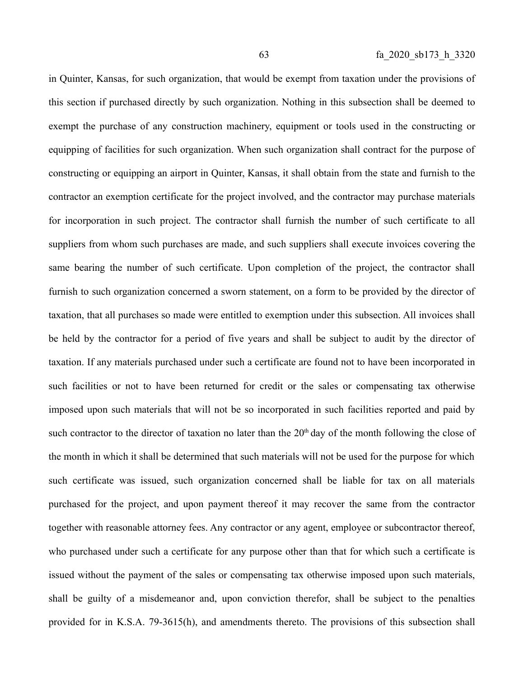in Quinter, Kansas, for such organization, that would be exempt from taxation under the provisions of this section if purchased directly by such organization. Nothing in this subsection shall be deemed to exempt the purchase of any construction machinery, equipment or tools used in the constructing or equipping of facilities for such organization. When such organization shall contract for the purpose of constructing or equipping an airport in Quinter, Kansas, it shall obtain from the state and furnish to the contractor an exemption certificate for the project involved, and the contractor may purchase materials for incorporation in such project. The contractor shall furnish the number of such certificate to all suppliers from whom such purchases are made, and such suppliers shall execute invoices covering the same bearing the number of such certificate. Upon completion of the project, the contractor shall furnish to such organization concerned a sworn statement, on a form to be provided by the director of taxation, that all purchases so made were entitled to exemption under this subsection. All invoices shall be held by the contractor for a period of five years and shall be subject to audit by the director of taxation. If any materials purchased under such a certificate are found not to have been incorporated in such facilities or not to have been returned for credit or the sales or compensating tax otherwise imposed upon such materials that will not be so incorporated in such facilities reported and paid by such contractor to the director of taxation no later than the  $20<sup>th</sup>$  day of the month following the close of the month in which it shall be determined that such materials will not be used for the purpose for which such certificate was issued, such organization concerned shall be liable for tax on all materials purchased for the project, and upon payment thereof it may recover the same from the contractor together with reasonable attorney fees. Any contractor or any agent, employee or subcontractor thereof, who purchased under such a certificate for any purpose other than that for which such a certificate is issued without the payment of the sales or compensating tax otherwise imposed upon such materials, shall be guilty of a misdemeanor and, upon conviction therefor, shall be subject to the penalties provided for in K.S.A. 79-3615(h), and amendments thereto. The provisions of this subsection shall